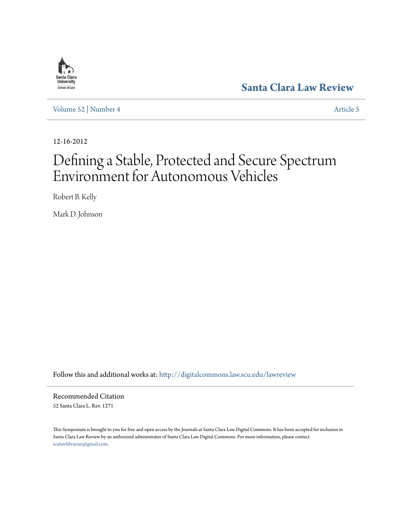

**[Santa Clara Law Review](http://digitalcommons.law.scu.edu/lawreview?utm_source=digitalcommons.law.scu.edu%2Flawreview%2Fvol52%2Fiss4%2F5&utm_medium=PDF&utm_campaign=PDFCoverPages)**

[Volume 52](http://digitalcommons.law.scu.edu/lawreview/vol52?utm_source=digitalcommons.law.scu.edu%2Flawreview%2Fvol52%2Fiss4%2F5&utm_medium=PDF&utm_campaign=PDFCoverPages) | [Number 4](http://digitalcommons.law.scu.edu/lawreview/vol52/iss4?utm_source=digitalcommons.law.scu.edu%2Flawreview%2Fvol52%2Fiss4%2F5&utm_medium=PDF&utm_campaign=PDFCoverPages) [Article 5](http://digitalcommons.law.scu.edu/lawreview/vol52/iss4/5?utm_source=digitalcommons.law.scu.edu%2Flawreview%2Fvol52%2Fiss4%2F5&utm_medium=PDF&utm_campaign=PDFCoverPages)

12-16-2012

# Defining a Stable, Protected and Secure Spectrum Environment for Autonomous Vehicles

Robert B. Kelly

Mark D. Johnson

Follow this and additional works at: [http://digitalcommons.law.scu.edu/lawreview](http://digitalcommons.law.scu.edu/lawreview?utm_source=digitalcommons.law.scu.edu%2Flawreview%2Fvol52%2Fiss4%2F5&utm_medium=PDF&utm_campaign=PDFCoverPages)

Recommended Citation 52 Santa Clara L. Rev. 1271

This Symposium is brought to you for free and open access by the Journals at Santa Clara Law Digital Commons. It has been accepted for inclusion in Santa Clara Law Review by an authorized administrator of Santa Clara Law Digital Commons. For more information, please contact [sculawlibrarian@gmail.com](mailto:sculawlibrarian@gmail.com).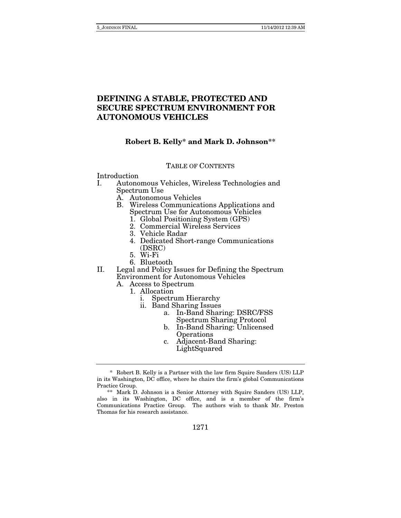## **DEFINING A STABLE, PROTECTED AND SECURE SPECTRUM ENVIRONMENT FOR AUTONOMOUS VEHICLES**

### **Robert B. Kelly\* and Mark D. Johnson\*\***

### TABLE OF CONTENTS

Introduction

- I. Autonomous Vehicles, Wireless Technologies and Spectrum Use
	- A. Autonomous Vehicles
	- B. Wireless Communications Applications and Spectrum Use for Autonomous Vehicles
		- 1. Global Positioning System (GPS)
		- 2. Commercial Wireless Services
		- 3. Vehicle Radar
		- 4. Dedicated Short-range Communications (DSRC)
		- 5. Wi-Fi
		- 6. Bluetooth
- II. Legal and Policy Issues for Defining the Spectrum Environment for Autonomous Vehicles
	- A. Access to Spectrum
		- 1. Allocation
			- i. Spectrum Hierarchy
			- ii. Band Sharing Issues
				- a. In-Band Sharing: DSRC/FSS Spectrum Sharing Protocol
				- b. In-Band Sharing: Unlicensed **Operations**
				- c. Adjacent-Band Sharing: LightSquared

 <sup>\*</sup> Robert B. Kelly is a Partner with the law firm Squire Sanders (US) LLP in its Washington, DC office, where he chairs the firm's global Communications Practice Group.

 <sup>\*\*</sup> Mark D. Johnson is a Senior Attorney with Squire Sanders (US) LLP, also in its Washington, DC office, and is a member of the firm's Communications Practice Group. The authors wish to thank Mr. Preston Thomas for his research assistance.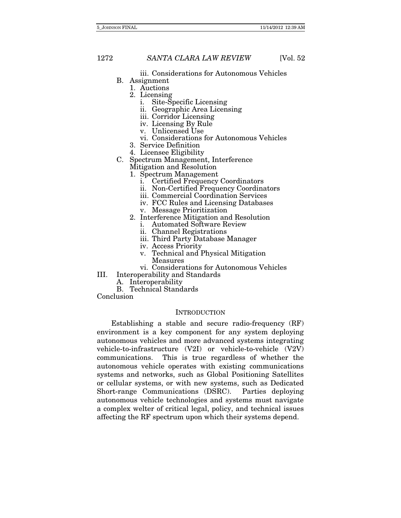iii. Considerations for Autonomous Vehicles

- B. Assignment
	- 1. Auctions
	- 2. Licensing
		- i. Site-Specific Licensing
		- ii. Geographic Area Licensing
		- iii. Corridor Licensing
		- iv. Licensing By Rule
		- v. Unlicensed Use
		- vi. Considerations for Autonomous Vehicles
	- 3. Service Definition
	- 4. Licensee Eligibility
- C. Spectrum Management, Interference Mitigation and Resolution
	- 1. Spectrum Management
		- i. Certified Frequency Coordinators
		- ii. Non-Certified Frequency Coordinators
		- iii. Commercial Coordination Services
		- iv. FCC Rules and Licensing Databases
		- v. Message Prioritization
	- 2. Interference Mitigation and Resolution
		- i. Automated Software Review
		- ii. Channel Registrations
		- iii. Third Party Database Manager
		- iv. Access Priority
		- v. Technical and Physical Mitigation
			- Measures
	- vi. Considerations for Autonomous Vehicles
- III. Interoperability and Standards
	- A. Interoperability
	- B. Technical Standards

Conclusion

#### **INTRODUCTION**

Establishing a stable and secure radio-frequency (RF) environment is a key component for any system deploying autonomous vehicles and more advanced systems integrating vehicle-to-infrastructure (V2I) or vehicle-to-vehicle (V2V) communications. This is true regardless of whether the autonomous vehicle operates with existing communications systems and networks, such as Global Positioning Satellites or cellular systems, or with new systems, such as Dedicated Short-range Communications (DSRC). Parties deploying autonomous vehicle technologies and systems must navigate a complex welter of critical legal, policy, and technical issues affecting the RF spectrum upon which their systems depend.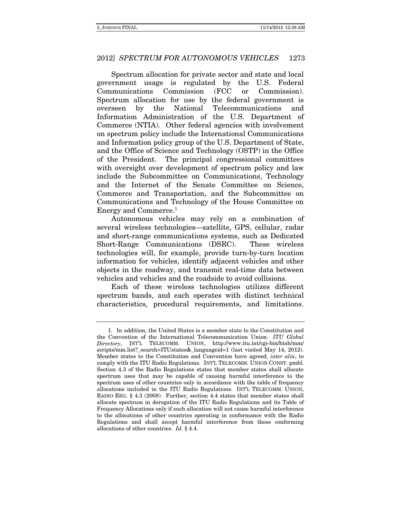Spectrum allocation for private sector and state and local government usage is regulated by the U.S. Federal Communications Commission (FCC or Commission). Spectrum allocation for use by the federal government is overseen by the National Telecommunications and Information Administration of the U.S. Department of Commerce (NTIA). Other federal agencies with involvement on spectrum policy include the International Communications and Information policy group of the U.S. Department of State, and the Office of Science and Technology (OSTP) in the Office of the President. The principal congressional committees with oversight over development of spectrum policy and law include the Subcommittee on Communications, Technology and the Internet of the Senate Committee on Science, Commerce and Transportation, and the Subcommittee on Communications and Technology of the House Committee on Energy and Commerce.<sup>1</sup>

Autonomous vehicles may rely on a combination of several wireless technologies—satellite, GPS, cellular, radar and short-range communications systems, such as Dedicated Short-Range Communications (DSRC). These wireless technologies will, for example, provide turn-by-turn location information for vehicles, identify adjacent vehicles and other objects in the roadway, and transmit real-time data between vehicles and vehicles and the roadside to avoid collisions.

Each of these wireless technologies utilizes different spectrum bands, and each operates with distinct technical characteristics, procedural requirements, and limitations.

 <sup>1.</sup> In addition, the United States is a member state to the Constitution and the Convention of the International Telecommunication Union. ITU Global Directory, INT'L TELECOMM. UNION, http://www.itu.int/cgi-bin/htsh/mm/ scripts/mm.list?\_search=ITUstates&\_languageid=1 (last visited May 14, 2012). Member states to the Constitution and Convention have agreed, inter alia, to comply with the ITU Radio Regulations. INT'L TELECOMM. UNION CONST. pmbl. Section 4.3 of the Radio Regulations states that member states shall allocate spectrum uses that may be capable of causing harmful interference to the spectrum uses of other countries only in accordance with the table of frequency allocations included in the ITU Radio Regulations. INT'L TELECOMM. UNION, RADIO REG. § 4.3 (2008). Further, section 4.4 states that member states shall allocate spectrum in derogation of the ITU Radio Regulations and its Table of Frequency Allocations only if such allocation will not cause harmful interference to the allocations of other countries operating in conformance with the Radio Regulations and shall accept harmful interference from those conforming allocations of other countries. Id. § 4.4.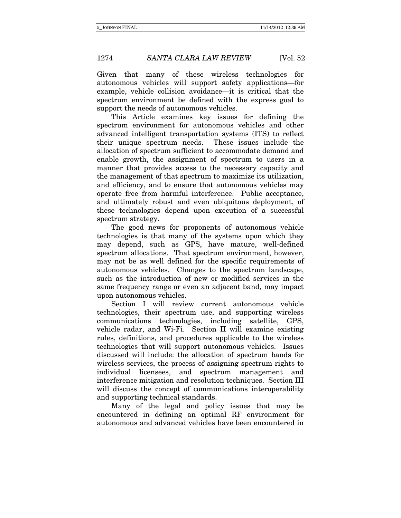Given that many of these wireless technologies for autonomous vehicles will support safety applications—for example, vehicle collision avoidance—it is critical that the spectrum environment be defined with the express goal to support the needs of autonomous vehicles.

This Article examines key issues for defining the spectrum environment for autonomous vehicles and other advanced intelligent transportation systems (ITS) to reflect their unique spectrum needs. These issues include the allocation of spectrum sufficient to accommodate demand and enable growth, the assignment of spectrum to users in a manner that provides access to the necessary capacity and the management of that spectrum to maximize its utilization, and efficiency, and to ensure that autonomous vehicles may operate free from harmful interference. Public acceptance, and ultimately robust and even ubiquitous deployment, of these technologies depend upon execution of a successful spectrum strategy.

The good news for proponents of autonomous vehicle technologies is that many of the systems upon which they may depend, such as GPS, have mature, well-defined spectrum allocations. That spectrum environment, however, may not be as well defined for the specific requirements of autonomous vehicles. Changes to the spectrum landscape, such as the introduction of new or modified services in the same frequency range or even an adjacent band, may impact upon autonomous vehicles.

Section I will review current autonomous vehicle technologies, their spectrum use, and supporting wireless communications technologies, including satellite, GPS, vehicle radar, and Wi-Fi. Section II will examine existing rules, definitions, and procedures applicable to the wireless technologies that will support autonomous vehicles. Issues discussed will include: the allocation of spectrum bands for wireless services, the process of assigning spectrum rights to individual licensees, and spectrum management and interference mitigation and resolution techniques. Section III will discuss the concept of communications interoperability and supporting technical standards.

Many of the legal and policy issues that may be encountered in defining an optimal RF environment for autonomous and advanced vehicles have been encountered in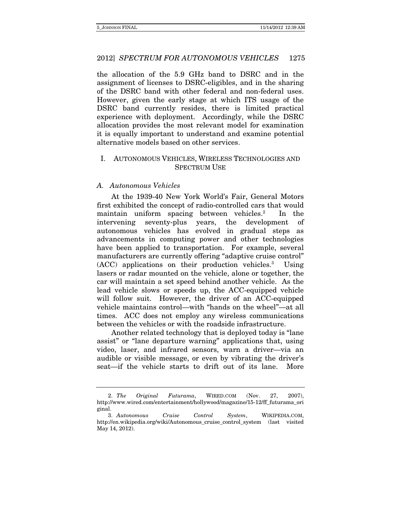the allocation of the 5.9 GHz band to DSRC and in the assignment of licenses to DSRC-eligibles, and in the sharing of the DSRC band with other federal and non-federal uses. However, given the early stage at which ITS usage of the DSRC band currently resides, there is limited practical experience with deployment. Accordingly, while the DSRC allocation provides the most relevant model for examination it is equally important to understand and examine potential alternative models based on other services.

### I. AUTONOMOUS VEHICLES, WIRELESS TECHNOLOGIES AND SPECTRUM USE

### A. Autonomous Vehicles

At the 1939-40 New York World's Fair, General Motors first exhibited the concept of radio-controlled cars that would maintain uniform spacing between vehicles.<sup>2</sup> In the intervening seventy-plus years, the development of autonomous vehicles has evolved in gradual steps as advancements in computing power and other technologies have been applied to transportation. For example, several manufacturers are currently offering "adaptive cruise control" (ACC) applications on their production vehicles.3 Using lasers or radar mounted on the vehicle, alone or together, the car will maintain a set speed behind another vehicle. As the lead vehicle slows or speeds up, the ACC-equipped vehicle will follow suit. However, the driver of an ACC-equipped vehicle maintains control—with "hands on the wheel"—at all times. ACC does not employ any wireless communications between the vehicles or with the roadside infrastructure.

Another related technology that is deployed today is "lane assist" or "lane departure warning" applications that, using video, laser, and infrared sensors, warn a driver—via an audible or visible message, or even by vibrating the driver's seat—if the vehicle starts to drift out of its lane. More

 <sup>2.</sup> The Original Futurama, WIRED.COM (Nov. 27, 2007), http://www.wired.com/entertainment/hollywood/magazine/15-12/ff\_futurama\_ori ginal.

 <sup>3.</sup> Autonomous Cruise Control System, WIKIPEDIA.COM, http://en.wikipedia.org/wiki/Autonomous\_cruise\_control\_system (last visited May 14, 2012).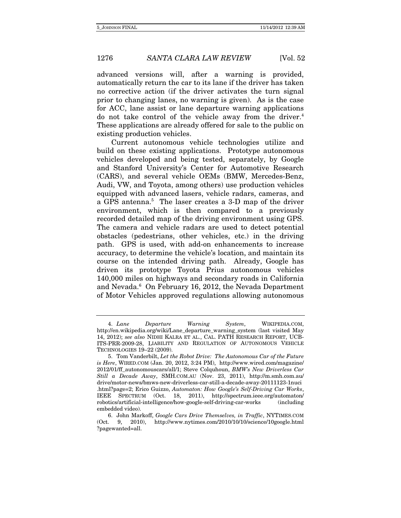advanced versions will, after a warning is provided, automatically return the car to its lane if the driver has taken no corrective action (if the driver activates the turn signal prior to changing lanes, no warning is given). As is the case for ACC, lane assist or lane departure warning applications do not take control of the vehicle away from the driver.<sup>4</sup> These applications are already offered for sale to the public on existing production vehicles.

Current autonomous vehicle technologies utilize and build on these existing applications. Prototype autonomous vehicles developed and being tested, separately, by Google and Stanford University's Center for Automotive Research (CARS), and several vehicle OEMs (BMW, Mercedes-Benz, Audi, VW, and Toyota, among others) use production vehicles equipped with advanced lasers, vehicle radars, cameras, and a GPS antenna.<sup>5</sup> The laser creates a 3-D map of the driver environment, which is then compared to a previously recorded detailed map of the driving environment using GPS. The camera and vehicle radars are used to detect potential obstacles (pedestrians, other vehicles, etc.) in the driving path. GPS is used, with add-on enhancements to increase accuracy, to determine the vehicle's location, and maintain its course on the intended driving path. Already, Google has driven its prototype Toyota Prius autonomous vehicles 140,000 miles on highways and secondary roads in California and Nevada.<sup>6</sup> On February 16, 2012, the Nevada Department of Motor Vehicles approved regulations allowing autonomous

 <sup>4.</sup> Lane Departure Warning System, WIKIPEDIA.COM, http://en.wikipedia.org/wiki/Lane\_departure\_warning\_system (last visited May 14, 2012); see also NIDHI KALRA ET AL., CAL. PATH RESEARCH REPORT, UCB-ITS-PRR-2009-28, LIABILITY AND REGULATION OF AUTONOMOUS VEHICLE TECHNOLOGIES 19–22 (2009).

 <sup>5.</sup> Tom Vanderbilt, Let the Robot Drive: The Autonomous Car of the Future is Here, WIRED.COM (Jan. 20, 2012, 3:24 PM), http://www.wired.com/magazine/ 2012/01/ff autonomouscars/all/1; Steve Colquhoun, BMW's New Driverless Car Still a Decade Away, SMH.COM.AU (Nov. 23, 2011), http://m.smh.com.au/ drive/motor-news/bmws-new-driverless-car-still-a-decade-away-20111123-1nuci .html?page=2; Erico Guizzo, Automaton: How Google's Self-Driving Car Works, IEEE SPECTRUM (Oct. 18, 2011), http://spectrum.ieee.org/automaton/ robotics/artificial-intelligence/how-google-self-driving-car-works (including embedded video).

 <sup>6.</sup> John Markoff, Google Cars Drive Themselves, in Traffic, NYTIMES.COM (Oct. 9, 2010), http://www.nytimes.com/2010/10/10/science/10google.html ?pagewanted=all.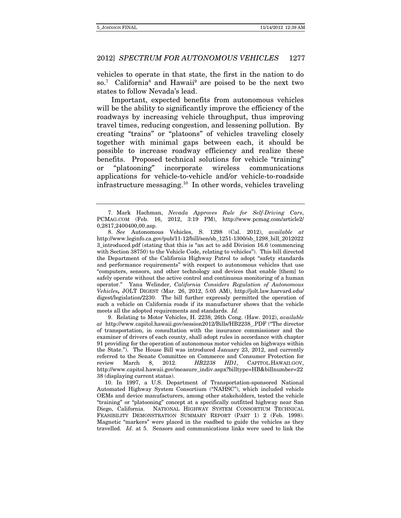vehicles to operate in that state, the first in the nation to do so.<sup>7</sup> California<sup>8</sup> and Hawaii<sup>9</sup> are poised to be the next two states to follow Nevada's lead.

Important, expected benefits from autonomous vehicles will be the ability to significantly improve the efficiency of the roadways by increasing vehicle throughput, thus improving travel times, reducing congestion, and lessening pollution. By creating "trains" or "platoons" of vehicles traveling closely together with minimal gaps between each, it should be possible to increase roadway efficiency and realize these benefits. Proposed technical solutions for vehicle "training" or "platooning" incorporate wireless communications applications for vehicle-to-vehicle and/or vehicle-to-roadside infrastructure messaging.10 In other words, vehicles traveling

 9. Relating to Motor Vehicles, H. 2238, 26th Cong. (Haw. 2012), available at http://www.capitol.hawaii.gov/session2012/Bills/HB2238\_.PDF ("The director of transportation, in consultation with the insurance commissioner and the examiner of drivers of each county, shall adopt rules in accordance with chapter 91 providing for the operation of autonomous motor vehicles on highways within the State."). The House Bill was introduced January 23, 2012, and currently referred to the Senate Committee on Commerce and Consumer Protection for<br>review March 8. 2012. HB2238 HD1. CAPITOL.HAWAII.GOV. review March 8, 2012. HB2238 HD1, CAPITOL.HAWAII.GOV, http://www.capitol.hawaii.gov/measure\_indiv.aspx?billtype=HB&billnumber=22 38 (displaying current status).

 10. In 1997, a U.S. Department of Transportation-sponsored National Automated Highway System Consortium ("NAHSC"), which included vehicle OEMs and device manufacturers, among other stakeholders, tested the vehicle "training" or "platooning" concept at a specifically outfitted highway near San Diego, California. NATIONAL HIGHWAY SYSTEM CONSORTIUM TECHNICAL FEASIBILITY DEMONSTRATION SUMMARY REPORT (PART 1) 2 (Feb. 1998). Magnetic "markers" were placed in the roadbed to guide the vehicles as they travelled. Id. at 5. Sensors and communications links were used to link the

 <sup>7.</sup> Mark Hachman, Nevada Approves Rule for Self-Driving Cars, PCMAG.COM (Feb. 16, 2012, 3:19 PM), http://www.pcmag.com/article2/ 0,2817,2400400,00.asp.

 <sup>8.</sup> See Autonomous Vehicles, S. 1298 (Cal. 2012), available at http://www.leginfo.ca.gov/pub/11-12/bill/sen/sb\_1251-1300/sb\_1298\_bill\_2012022 3\_introduced.pdf (stating that this is "an act to add Division 16.6 (commencing with Section 38750) to the Vehicle Code, relating to vehicles"). This bill directed the Department of the California Highway Patrol to adopt "safety standards and performance requirements" with respect to autonomous vehicles that use "computers, sensors, and other technology and devices that enable [them] to safely operate without the active control and continuous monitoring of a human operator." Yana Welinder, California Considers Regulation of Autonomous Vehicles**,** JOLT DIGEST (Mar. 26, 2012, 5:05 AM), http://jolt.law.harvard.edu/ digest/legislation/2230. The bill further expressly permitted the operation of such a vehicle on California roads if its manufacturer shows that the vehicle meets all the adopted requirements and standards. Id.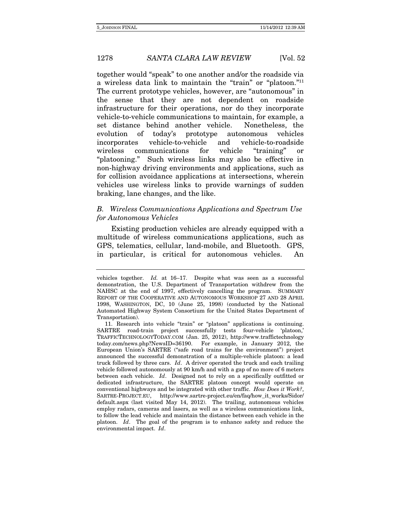together would "speak" to one another and/or the roadside via a wireless data link to maintain the "train" or "platoon."11 The current prototype vehicles, however, are "autonomous" in the sense that they are not dependent on roadside infrastructure for their operations, nor do they incorporate vehicle-to-vehicle communications to maintain, for example, a set distance behind another vehicle. Nonetheless, the evolution of today's prototype autonomous vehicles incorporates vehicle-to-vehicle and vehicle-to-roadside wireless communications for vehicle "training" or "platooning." Such wireless links may also be effective in non-highway driving environments and applications, such as for collision avoidance applications at intersections, wherein vehicles use wireless links to provide warnings of sudden braking, lane changes, and the like.

### B. Wireless Communications Applications and Spectrum Use for Autonomous Vehicles

Existing production vehicles are already equipped with a multitude of wireless communications applications, such as GPS, telematics, cellular, land-mobile, and Bluetooth. GPS, in particular, is critical for autonomous vehicles. An

vehicles together. Id. at 16–17. Despite what was seen as a successful demonstration, the U.S. Department of Transportation withdrew from the NAHSC at the end of 1997, effectively cancelling the program. SUMMARY REPORT OF THE COOPERATIVE AND AUTONOMOUS WORKSHOP 27 AND 28 APRIL 1998, WASHINGTON, DC, 10 (June 25, 1998) (conducted by the National Automated Highway System Consortium for the United States Department of Transportation).

 <sup>11.</sup> Research into vehicle "train" or "platoon" applications is continuing. SARTRE road-train project successfully tests four-vehicle 'platoon,' TRAFFICTECHNOLOGYTODAY.COM (Jan. 25, 2012), http://www.traffictechnology today.com/news.php?NewsID=36190. For example, in January 2012, the European Union's SARTRE ("safe road trains for the environment") project announced the successful demonstration of a multiple-vehicle platoon: a lead truck followed by three cars. Id. A driver operated the truck and each trailing vehicle followed autonomously at 90 km/h and with a gap of no more of 6 meters between each vehicle. Id. Designed not to rely on a specifically outfitted or dedicated infrastructure, the SARTRE platoon concept would operate on conventional highways and be integrated with other traffic. How Does it Work?, SARTRE-PROJECT.EU, http://www.sartre-project.eu/en/faq/how\_it\_works/Sidor/ default.aspx (last visited May 14, 2012). The trailing, autonomous vehicles employ radars, cameras and lasers, as well as a wireless communications link, to follow the lead vehicle and maintain the distance between each vehicle in the platoon. Id. The goal of the program is to enhance safety and reduce the environmental impact. Id.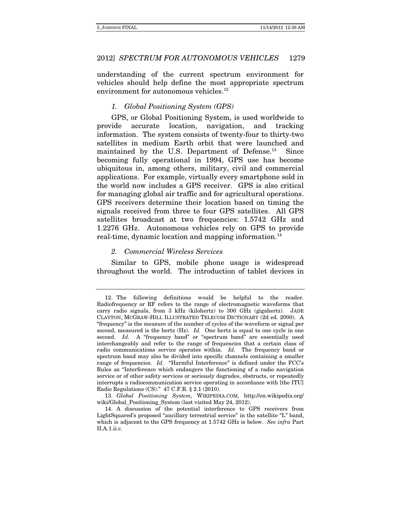understanding of the current spectrum environment for vehicles should help define the most appropriate spectrum environment for autonomous vehicles.<sup>12</sup>

### 1. Global Positioning System (GPS)

GPS, or Global Positioning System, is used worldwide to provide accurate location, navigation, and tracking information. The system consists of twenty-four to thirty-two satellites in medium Earth orbit that were launched and maintained by the U.S. Department of Defense.<sup>13</sup> Since becoming fully operational in 1994, GPS use has become ubiquitous in, among others, military, civil and commercial applications. For example, virtually every smartphone sold in the world now includes a GPS receiver. GPS is also critical for managing global air traffic and for agricultural operations. GPS receivers determine their location based on timing the signals received from three to four GPS satellites. All GPS satellites broadcast at two frequencies: 1.5742 GHz and 1.2276 GHz. Autonomous vehicles rely on GPS to provide real-time, dynamic location and mapping information.14

### 2. Commercial Wireless Services

Similar to GPS, mobile phone usage is widespread throughout the world. The introduction of tablet devices in

 <sup>12.</sup> The following definitions would be helpful to the reader. Radiofrequency or RF refers to the range of electromagnetic waveforms that carry radio signals, from 3 kHz (kilohertz) to 300 GHz (gigahertz). JADE CLAYTON, MCGRAW-HILL ILLUSTRATED TELECOM DICTIONARY (2d ed. 2000). A "frequency" is the measure of the number of cycles of the waveform or signal per second, measured is the hertz (Hz). Id. One hertz is equal to one cycle in one second. Id. A "frequency band" or "spectrum band" are essentially used interchangeably and refer to the range of frequencies that a certain class of radio communications service operates within. Id. The frequency band or spectrum band may also be divided into specific channels containing a smaller range of frequencies. Id. "Harmful Interference" is defined under the FCC's Rules as "Interference which endangers the functioning of a radio navigation service or of other safety services or seriously degrades, obstructs, or repeatedly interrupts a radiocommunication service operating in accordance with [the ITU] Radio Regulations (CS)." 47 C.F.R. § 2.1 (2010).

 <sup>13.</sup> Global Positioning System, WIKIPEDIA.COM, http://en.wikipedia.org/ wiki/Global\_Positioning\_System (last visited May 24, 2012).

 <sup>14.</sup> A discussion of the potential interference to GPS receivers from LightSquared's proposed "ancillary terrestrial service" in the satellite "L" band, which is adjacent to the GPS frequency at 1.5742 GHz is below. See infra Part II.A.1.ii.c.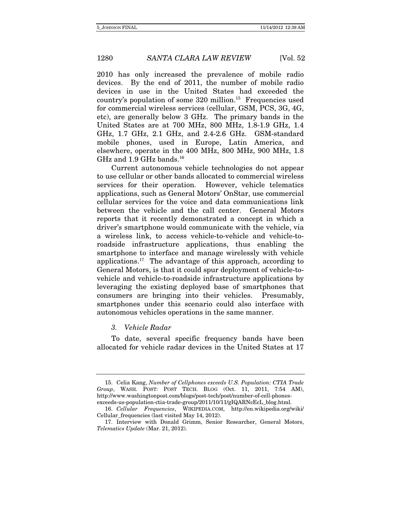2010 has only increased the prevalence of mobile radio devices. By the end of 2011, the number of mobile radio devices in use in the United States had exceeded the country's population of some 320 million.15 Frequencies used for commercial wireless services (cellular, GSM, PCS, 3G, 4G, etc), are generally below 3 GHz. The primary bands in the United States are at 700 MHz, 800 MHz, 1.8-1.9 GHz, 1.4 GHz, 1.7 GHz, 2.1 GHz, and 2.4-2.6 GHz. GSM-standard mobile phones, used in Europe, Latin America, and elsewhere, operate in the 400 MHz, 800 MHz, 900 MHz, 1.8 GHz and  $1.9$  GHz bands.<sup>16</sup>

Current autonomous vehicle technologies do not appear to use cellular or other bands allocated to commercial wireless services for their operation. However, vehicle telematics applications, such as General Motors' OnStar, use commercial cellular services for the voice and data communications link between the vehicle and the call center. General Motors reports that it recently demonstrated a concept in which a driver's smartphone would communicate with the vehicle, via a wireless link, to access vehicle-to-vehicle and vehicle-toroadside infrastructure applications, thus enabling the smartphone to interface and manage wirelessly with vehicle applications.<sup>17</sup> The advantage of this approach, according to General Motors, is that it could spur deployment of vehicle-tovehicle and vehicle-to-roadside infrastructure applications by leveraging the existing deployed base of smartphones that consumers are bringing into their vehicles. Presumably, smartphones under this scenario could also interface with autonomous vehicles operations in the same manner.

### 3. Vehicle Radar

To date, several specific frequency bands have been allocated for vehicle radar devices in the United States at 17

 <sup>15.</sup> Celia Kang, Number of Cellphones exceeds U.S. Population: CTIA Trade Group, WASH. POST: POST TECH. BLOG (Oct. 11, 2011, 7:54 AM), http://www.washingtonpost.com/blogs/post-tech/post/number-of-cell-phonesexceeds-us-population-ctia-trade-group/2011/10/11/gIQARNcEcL\_blog.html.

 <sup>16.</sup> Cellular Frequencies, WIKIPEDIA.COM, http://en.wikipedia.org/wiki/ Cellular\_frequencies (last visited May 14, 2012).

 <sup>17.</sup> Interview with Donald Grimm, Senior Researcher, General Motors, Telematics Update (Mar. 21, 2012).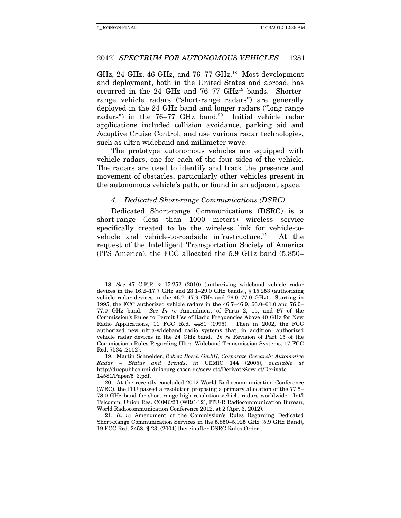GHz, 24 GHz, 46 GHz, and  $76-77$  GHz.<sup>18</sup> Most development and deployment, both in the United States and abroad, has occurred in the 24 GHz and 76–77 GHz19 bands. Shorterrange vehicle radars ("short-range radars") are generally deployed in the 24 GHz band and longer radars ("long range radars") in the 76–77 GHz band.<sup>20</sup> Initial vehicle radar applications included collision avoidance, parking aid and Adaptive Cruise Control, and use various radar technologies, such as ultra wideband and millimeter wave.

The prototype autonomous vehicles are equipped with vehicle radars, one for each of the four sides of the vehicle. The radars are used to identify and track the presence and movement of obstacles, particularly other vehicles present in the autonomous vehicle's path, or found in an adjacent space.

### 4. Dedicated Short-range Communications (DSRC)

Dedicated Short-range Communications (DSRC) is a short-range (less than 1000 meters) wireless service specifically created to be the wireless link for vehicle-tovehicle and vehicle-to-roadside infrastructure.<sup>21</sup> At the request of the Intelligent Transportation Society of America (ITS America), the FCC allocated the 5.9 GHz band (5.850–

<sup>18.</sup> See 47 C.F.R. § 15.252 (2010) (authorizing wideband vehicle radar devices in the 16.2–17.7 GHz and 23.1–29.0 GHz bands), § 15.253 (authorizing vehicle radar devices in the 46.7–47.9 GHz and 76.0–77.0 GHz). Starting in 1995, the FCC authorized vehicle radars in the 46.7–46.9, 60.0–61.0 and 76.0– 77.0 GHz band. See In re Amendment of Parts 2, 15, and 97 of the Commission's Rules to Permit Use of Radio Frequencies Above 40 GHz for New Radio Applications, 11 FCC Rcd. 4481 (1995). Then in 2002, the FCC authorized new ultra-wideband radio systems that, in addition, authorized vehicle radar devices in the 24 GHz band. In re Revision of Part 15 of the Commission's Rules Regarding Ultra-Wideband Transmission Systems, 17 FCC Rcd. 7534 (2002).

 <sup>19.</sup> Martin Schneider, Robert Bosch GmbH, Corporate Research: Automotive Radar – Status and Trends, in GEMIC 144 (2005), available at http://duepublico.uni-duisburg-essen.de/servlets/DerivateServlet/Derivate-14581/Paper/5\_3.pdf.

 <sup>20.</sup> At the recently concluded 2012 World Radiocommunication Conference (WRC), the ITU passed a resolution proposing a primary allocation of the 77.5– 78.0 GHz band for short-range high-resolution vehicle radars worldwide. Int'l Telcomm. Union Res. COM6/23 (WRC-12), ITU-R Radiocommunication Bureau, World Radiocommunication Conference 2012, at 2 (Apr. 3, 2012).

 <sup>21.</sup> In re Amendment of the Commission's Rules Regarding Dedicated Short-Range Communication Services in the 5.850–5.925 GHz (5.9 GHz Band), 19 FCC Rcd. 2458, ¶ 23, (2004) [hereinafter DSRC Rules Order].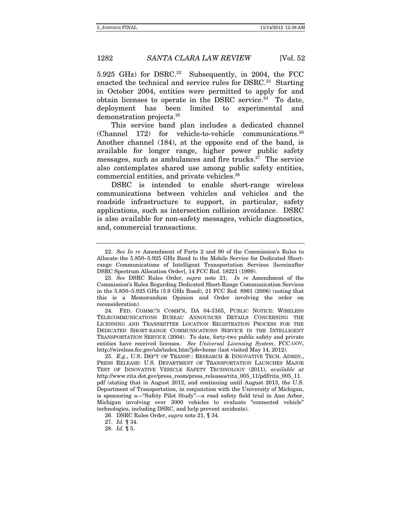5.925 GHz) for DSRC.<sup>22</sup> Subsequently, in 2004, the FCC enacted the technical and service rules for DSRC.<sup>23</sup> Starting in October 2004, entities were permitted to apply for and obtain licenses to operate in the DSRC service. $24$  To date, deployment has been limited to experimental and demonstration projects.25

This service band plan includes a dedicated channel (Channel 172) for vehicle-to-vehicle communications.26 Another channel (184), at the opposite end of the band, is available for longer range, higher power public safety messages, such as ambulances and fire trucks. $27$  The service also contemplates shared use among public safety entities, commercial entities, and private vehicles.28

DSRC is intended to enable short-range wireless communications between vehicles and vehicles and the roadside infrastructure to support, in particular, safety applications, such as intersection collision avoidance. DSRC is also available for non-safety messages, vehicle diagnostics, and, commercial transactions.

<sup>22.</sup> See In re Amendment of Parts 2 and 90 of the Commission's Rules to Allocate the 5.850–5.925 GHz Band to the Mobile Service for Dedicated Shortrange Communications of Intelligent Transportation Services [hereinafter DSRC Spectrum Allocation Order], 14 FCC Rcd. 18221 (1999).

 <sup>23.</sup> See DSRC Rules Order, supra note 21; In re Amendment of the Commission's Rules Regarding Dedicated Short-Range Communication Services in the 5.850–5.925 GHz (5.9 GHz Band), 21 FCC Rcd. 8961 (2006) (noting that this is a Memorandum Opinion and Order involving the order on reconsideration).

 <sup>24.</sup> FED. COMMC'N COMM'N, DA 04-3165, PUBLIC NOTICE: WIRELESS TELECOMMUNICATIONS BUREAU ANNOUNCES DETAILS CONCERNING THE LICENSING AND TRANSMITTER LOCATION REGISTRATION PROCESS FOR THE DEDICATED SHORT-RANGE COMMUNICATIONS SERVICE IN THE INTELLIGENT TRANSPORTATION SERVICE (2004). To date, forty-two public safety and private entities have received licenses. See Universal Licensing System, FCC.GOV, http://wireless.fcc.gov/uls/index.htm?job=home (last visited May 14, 2012).

 <sup>25.</sup> E.g., U.S. DEP'T OF TRANSP.: RESEARCH & INNOVATIVE TECH. ADMIN., PRESS RELEASE: U.S. DEPARTMENT OF TRANSPORTATION LAUNCHES MAJOR TEST OF INNOVATIVE VEHICLE SAFETY TECHNOLOGY (2011), available at http://www.rita.dot.gov/press\_room/press\_releases/rita\_005\_11/pdf/rita\_005\_11. pdf (stating that in August 2012, and continuing until August 2013, the U.S. Department of Transportation, in conjunction with the University of Michigan, is sponsoring a—"Safety Pilot Study"—a road safety field trial in Ann Arbor, Michigan involving over 3000 vehicles to evaluate "connected vehicle" technologies, including DSRC, and help prevent accidents).

<sup>26.</sup> DSRC Rules Order, supra note 21, ¶ 34.

<sup>27.</sup> Id. ¶ 34.

 <sup>28.</sup> Id. ¶ 5.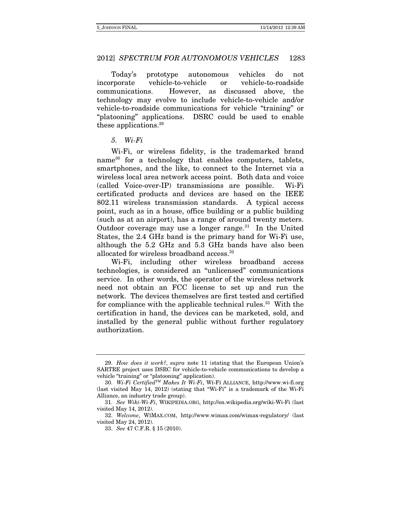Today's prototype autonomous vehicles do not incorporate vehicle-to-vehicle or vehicle-to-roadside communications. However, as discussed above, the technology may evolve to include vehicle-to-vehicle and/or vehicle-to-roadside communications for vehicle "training" or "platooning" applications. DSRC could be used to enable these applications.29

5. Wi-Fi

Wi-Fi, or wireless fidelity, is the trademarked brand name<sup>30</sup> for a technology that enables computers, tablets, smartphones, and the like, to connect to the Internet via a wireless local area network access point. Both data and voice (called Voice-over-IP) transmissions are possible. Wi-Fi certificated products and devices are based on the IEEE 802.11 wireless transmission standards. A typical access point, such as in a house, office building or a public building (such as at an airport), has a range of around twenty meters. Outdoor coverage may use a longer range. $31$  In the United States, the 2.4 GHz band is the primary band for Wi-Fi use, although the 5.2 GHz and 5.3 GHz bands have also been allocated for wireless broadband access.<sup>32</sup>

Wi-Fi, including other wireless broadband access technologies, is considered an "unlicensed" communications service. In other words, the operator of the wireless network need not obtain an FCC license to set up and run the network. The devices themselves are first tested and certified for compliance with the applicable technical rules.<sup>33</sup> With the certification in hand, the devices can be marketed, sold, and installed by the general public without further regulatory authorization.

 <sup>29.</sup> How does it work?, supra note 11 (stating that the European Union's SARTRE project uses DSRC for vehicle-to-vehicle communications to develop a vehicle "training" or "platooning" application).

<sup>30.</sup> Wi-Fi Certified<sup>TM</sup> Makes It Wi-Fi, WI-FI ALLIANCE, http://www.wi-fi.org (last visited May 14, 2012) (stating that "Wi-Fi" is a trademark of the Wi-Fi Alliance, an industry trade group).

 <sup>31.</sup> See Wiki-Wi-Fi, WIKIPEDIA.ORG, http://en.wikipedia.org/wiki-Wi-Fi (last visited May 14, 2012).

 <sup>32.</sup> Welcome, WIMAX.COM, http://www.wimax.com/wimax-regulatory/ (last visited May 24, 2012).

<sup>33.</sup> See 47 C.F.R. § 15 (2010).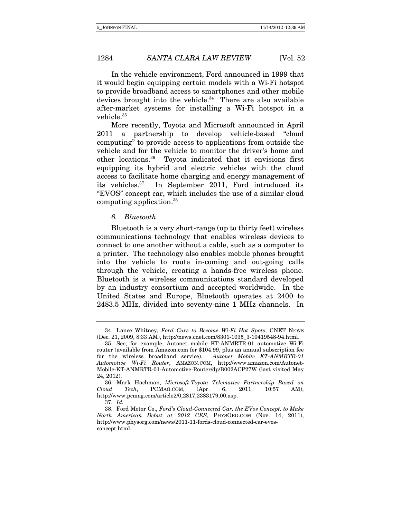In the vehicle environment, Ford announced in 1999 that it would begin equipping certain models with a Wi-Fi hotspot to provide broadband access to smartphones and other mobile devices brought into the vehicle. $34$  There are also available after-market systems for installing a Wi-Fi hotspot in a vehicle.<sup>35</sup>

More recently, Toyota and Microsoft announced in April 2011 a partnership to develop vehicle-based "cloud computing" to provide access to applications from outside the vehicle and for the vehicle to monitor the driver's home and other locations.36 Toyota indicated that it envisions first equipping its hybrid and electric vehicles with the cloud access to facilitate home charging and energy management of its vehicles.37 In September 2011, Ford introduced its "EVOS" concept car, which includes the use of a similar cloud computing application.38

#### 6. Bluetooth

Bluetooth is a very short-range (up to thirty feet) wireless communications technology that enables wireless devices to connect to one another without a cable, such as a computer to a printer. The technology also enables mobile phones brought into the vehicle to route in-coming and out-going calls through the vehicle, creating a hands-free wireless phone. Bluetooth is a wireless communications standard developed by an industry consortium and accepted worldwide. In the United States and Europe, Bluetooth operates at 2400 to 2483.5 MHz, divided into seventy-nine 1 MHz channels. In

 <sup>34.</sup> Lance Whitney, Ford Cars to Become Wi-Fi Hot Spots, CNET NEWS (Dec. 21, 2009, 8:33 AM), http://news.cnet.com/8301-1035\_3-10419548-94.html.

<sup>35.</sup> See, for example, Autonet mobile KT-ANMRTR-01 automotive Wi-Fi router (available from Amazon.com for \$104.99, plus an annual subscription fee for the wireless broadband service). Autonet Mobile KT-ANMRTR-01 Automotive Wi-Fi Router, AMAZON.COM, http://www.amazon.com/Autonet-Mobile-KT-ANMRTR-01-Automotive-Router/dp/B002ACP27W (last visited May 24, 2012).

<sup>36.</sup> Mark Hachman, Microsoft-Toyota Telematics Partnership Based on<br>bud Tech, PCMAG.COM, (Apr. 6, 2011, 10:57 AM). Cloud Tech, PCMAG.COM, (Apr. 6, 2011, 10:57 AM), http://www.pcmag.com/article2/0,2817,2383179,00.asp.

<sup>37.</sup> Id.

 <sup>38.</sup> Ford Motor Co., Ford's Cloud-Connected Car, the EVos Concept, to Make North American Debut at 2012 CES, PHYSORG.COM (Nov. 14, 2011), http://www.physorg.com/news/2011-11-fords-cloud-connected-car-evosconcept.html.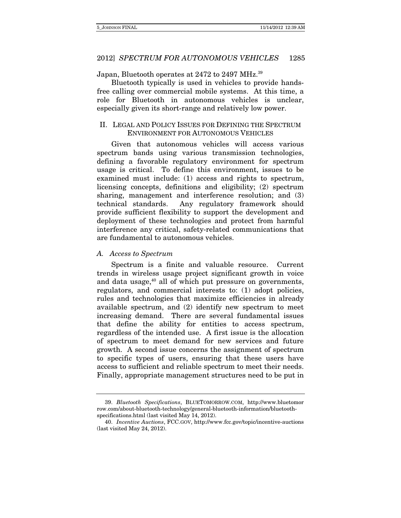### Japan, Bluetooth operates at 2472 to 2497 MHz.<sup>39</sup>

Bluetooth typically is used in vehicles to provide handsfree calling over commercial mobile systems. At this time, a role for Bluetooth in autonomous vehicles is unclear, especially given its short-range and relatively low power.

### II. LEGAL AND POLICY ISSUES FOR DEFINING THE SPECTRUM ENVIRONMENT FOR AUTONOMOUS VEHICLES

Given that autonomous vehicles will access various spectrum bands using various transmission technologies, defining a favorable regulatory environment for spectrum usage is critical. To define this environment, issues to be examined must include: (1) access and rights to spectrum, licensing concepts, definitions and eligibility; (2) spectrum sharing, management and interference resolution; and (3) technical standards. Any regulatory framework should provide sufficient flexibility to support the development and deployment of these technologies and protect from harmful interference any critical, safety-related communications that are fundamental to autonomous vehicles.

### A. Access to Spectrum

Spectrum is a finite and valuable resource. Current trends in wireless usage project significant growth in voice and data usage, $40$  all of which put pressure on governments, regulators, and commercial interests to: (1) adopt policies, rules and technologies that maximize efficiencies in already available spectrum, and (2) identify new spectrum to meet increasing demand. There are several fundamental issues that define the ability for entities to access spectrum, regardless of the intended use. A first issue is the allocation of spectrum to meet demand for new services and future growth. A second issue concerns the assignment of spectrum to specific types of users, ensuring that these users have access to sufficient and reliable spectrum to meet their needs. Finally, appropriate management structures need to be put in

 <sup>39.</sup> Bluetooth Specifications, BLUETOMORROW.COM, http://www.bluetomor row.com/about-bluetooth-technology/general-bluetooth-information/bluetoothspecifications.html (last visited May 14, 2012).

 <sup>40.</sup> Incentive Auctions, FCC.GOV, http://www.fcc.gov/topic/incentive-auctions (last visited May 24, 2012).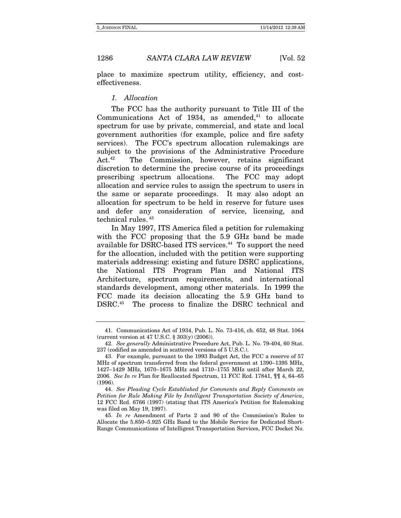place to maximize spectrum utility, efficiency, and costeffectiveness.

### 1. Allocation

The FCC has the authority pursuant to Title III of the Communications Act of 1934, as amended, $41$  to allocate spectrum for use by private, commercial, and state and local government authorities (for example, police and fire safety services). The FCC's spectrum allocation rulemakings are subject to the provisions of the Administrative Procedure Act.<sup>42</sup> The Commission, however, retains significant discretion to determine the precise course of its proceedings prescribing spectrum allocations. The FCC may adopt allocation and service rules to assign the spectrum to users in the same or separate proceedings. It may also adopt an allocation for spectrum to be held in reserve for future uses and defer any consideration of service, licensing, and technical rules. 43

In May 1997, ITS America filed a petition for rulemaking with the FCC proposing that the 5.9 GHz band be made available for DSRC-based ITS services.<sup>44</sup> To support the need for the allocation, included with the petition were supporting materials addressing: existing and future DSRC applications, the National ITS Program Plan and National ITS Architecture, spectrum requirements, and international standards development, among other materials. In 1999 the FCC made its decision allocating the 5.9 GHz band to DSRC.45 The process to finalize the DSRC technical and

 <sup>41.</sup> Communications Act of 1934, Pub. L. No. 73-416, ch. 652, 48 Stat. 1064 (current version at 47 U.S.C. § 303(y) (2006)).

<sup>42.</sup> See generally Administrative Procedure Act, Pub. L. No. 79-404, 60 Stat. 237 (codified as amended in scattered versions of 5 U.S.C.).

 <sup>43.</sup> For example, pursuant to the 1993 Budget Act, the FCC a reserve of 57 MHz of spectrum transferred from the federal government at 1390–1395 MHz, 1427–1429 MHz, 1670–1675 MHz and 1710–1755 MHz until after March 22, 2006. See In re Plan for Reallocated Spectrum, 11 FCC Rcd. 17841,  $\P$  1 4, 64–65 (1996).

<sup>44.</sup> See Pleading Cycle Established for Comments and Reply Comments on Petition for Rule Making File by Intelligent Transportation Society of America, 12 FCC Rcd. 6766 (1997) (stating that ITS America's Petition for Rulemaking was filed on May 19, 1997).

 <sup>45.</sup> In re Amendment of Parts 2 and 90 of the Commission's Rules to Allocate the 5.850–5.925 GHz Band to the Mobile Service for Dedicated Short-Range Communications of Intelligent Transportation Services, FCC Docket No.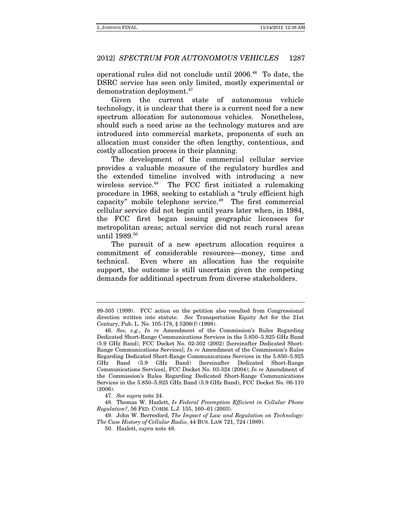operational rules did not conclude until 2006.46 To date, the DSRC service has seen only limited, mostly experimental or demonstration deployment.47

Given the current state of autonomous vehicle technology, it is unclear that there is a current need for a new spectrum allocation for autonomous vehicles. Nonetheless, should such a need arise as the technology matures and are introduced into commercial markets, proponents of such an allocation must consider the often lengthy, contentious, and costly allocation process in their planning.

The development of the commercial cellular service provides a valuable measure of the regulatory hurdles and the extended timeline involved with introducing a new wireless service.<sup>48</sup> The FCC first initiated a rulemaking procedure in 1968, seeking to establish a "truly efficient high capacity" mobile telephone service. $49$  The first commercial cellular service did not begin until years later when, in 1984, the FCC first began issuing geographic licensees for metropolitan areas; actual service did not reach rural areas until 1989.<sup>50</sup>

The pursuit of a new spectrum allocation requires a commitment of considerable resources—money, time and technical. Even where an allocation has the requisite support, the outcome is still uncertain given the competing demands for additional spectrum from diverse stakeholders.

 48. Thomas W. Hazlett, Is Federal Preemption Efficient in Cellular Phone Regulation?, 56 FED. COMM. L.J. 155, 160–61 (2003).

 49. John W. Berresford, The Impact of Law and Regulation on Technology: The Case History of Cellular Radio, 44 BUS. LAW 721, 724 (1989).

50. Hazlett, supra note 48.

<sup>99-305 (1999).</sup> FCC action on the petition also resulted from Congressional direction written into statute. See Transportation Equity Act for the 21st Century, Pub. L. No. 105-178, § 5206(f) (1998).

<sup>46.</sup> See, e.g., In re Amendment of the Commission's Rules Regarding Dedicated Short-Range Communications Services in the 5.850–5.925 GHz Band (5.9 GHz Band), FCC Docket No. 02-302 (2002) [hereinafter Dedicated Short-Range Communications Services]; In re Amendment of the Commission's Rules Regarding Dedicated Short-Range Communications Services in the 5.850–5.925 GHz Band (5.9 GHz Band) [hereinafter Dedicated Short-Range Communications Services], FCC Docket No. 03-324 (2004); In re Amendment of the Commission's Rules Regarding Dedicated Short-Range Communications Services in the 5.850–5.925 GHz Band (5.9 GHz Band), FCC Docket No. 06-110  $(2006)$ 

 <sup>47.</sup> See supra note 24.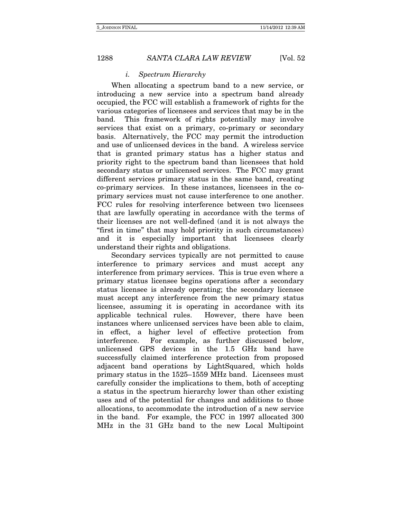### i. Spectrum Hierarchy

When allocating a spectrum band to a new service, or introducing a new service into a spectrum band already occupied, the FCC will establish a framework of rights for the various categories of licensees and services that may be in the band. This framework of rights potentially may involve services that exist on a primary, co-primary or secondary basis. Alternatively, the FCC may permit the introduction and use of unlicensed devices in the band. A wireless service that is granted primary status has a higher status and priority right to the spectrum band than licensees that hold secondary status or unlicensed services. The FCC may grant different services primary status in the same band, creating co-primary services. In these instances, licensees in the coprimary services must not cause interference to one another. FCC rules for resolving interference between two licensees that are lawfully operating in accordance with the terms of their licenses are not well-defined (and it is not always the "first in time" that may hold priority in such circumstances) and it is especially important that licensees clearly understand their rights and obligations.

Secondary services typically are not permitted to cause interference to primary services and must accept any interference from primary services. This is true even where a primary status licensee begins operations after a secondary status licensee is already operating; the secondary licensee must accept any interference from the new primary status licensee, assuming it is operating in accordance with its applicable technical rules. However, there have been instances where unlicensed services have been able to claim, in effect, a higher level of effective protection from interference. For example, as further discussed below, unlicensed GPS devices in the 1.5 GHz band have successfully claimed interference protection from proposed adjacent band operations by LightSquared, which holds primary status in the 1525–1559 MHz band. Licensees must carefully consider the implications to them, both of accepting a status in the spectrum hierarchy lower than other existing uses and of the potential for changes and additions to those allocations, to accommodate the introduction of a new service in the band. For example, the FCC in 1997 allocated 300 MHz in the 31 GHz band to the new Local Multipoint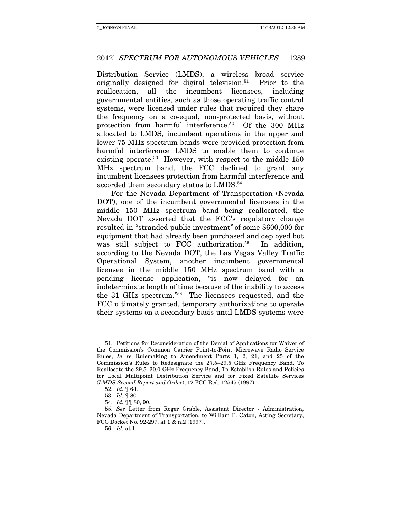Distribution Service (LMDS), a wireless broad service originally designed for digital television.<sup>51</sup> Prior to the reallocation, all the incumbent licensees, including governmental entities, such as those operating traffic control systems, were licensed under rules that required they share the frequency on a co-equal, non-protected basis, without protection from harmful interference.52 Of the 300 MHz allocated to LMDS, incumbent operations in the upper and lower 75 MHz spectrum bands were provided protection from harmful interference LMDS to enable them to continue existing operate.<sup>53</sup> However, with respect to the middle 150 MHz spectrum band, the FCC declined to grant any incumbent licensees protection from harmful interference and accorded them secondary status to LMDS.<sup>54</sup>

For the Nevada Department of Transportation (Nevada DOT), one of the incumbent governmental licensees in the middle 150 MHz spectrum band being reallocated, the Nevada DOT asserted that the FCC's regulatory change resulted in "stranded public investment" of some \$600,000 for equipment that had already been purchased and deployed but was still subject to FCC authorization.<sup>55</sup> In addition, according to the Nevada DOT, the Las Vegas Valley Traffic Operational System, another incumbent governmental licensee in the middle 150 MHz spectrum band with a pending license application, "is now delayed for an indeterminate length of time because of the inability to access the 31 GHz spectrum."56 The licensees requested, and the FCC ultimately granted, temporary authorizations to operate their systems on a secondary basis until LMDS systems were

<sup>51.</sup> Petitions for Reconsideration of the Denial of Applications for Waiver of the Commission's Common Carrier Point-to-Point Microwave Radio Service Rules, In re Rulemaking to Amendment Parts 1, 2, 21, and 25 of the Commission's Rules to Redesignate the 27.5–29.5 GHz Frequency Band, To Reallocate the 29.5–30.0 GHz Frequency Band, To Establish Rules and Policies for Local Multipoint Distribution Service and for Fixed Satellite Services (LMDS Second Report and Order), 12 FCC Rcd. 12545 (1997).

<sup>52.</sup> Id. ¶ 64.

<sup>53.</sup> Id. ¶ 80.

<sup>54.</sup> Id. ¶¶ 80, 90.

<sup>55.</sup> See Letter from Roger Grable, Assistant Director - Administration, Nevada Department of Transportation, to William F. Caton, Acting Secretary, FCC Docket No. 92-297, at 1 & n.2 (1997).

<sup>56.</sup> Id. at 1.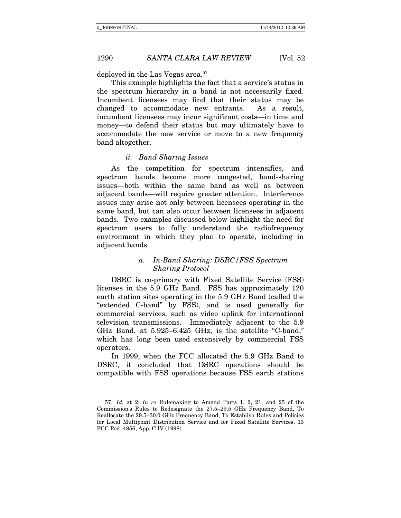deployed in the Las Vegas area.<sup>57</sup>

This example highlights the fact that a service's status in the spectrum hierarchy in a band is not necessarily fixed. Incumbent licensees may find that their status may be changed to accommodate new entrants. As a result, incumbent licensees may incur significant costs—in time and money—to defend their status but may ultimately have to accommodate the new service or move to a new frequency band altogether.

### ii. Band Sharing Issues

As the competition for spectrum intensifies, and spectrum bands become more congested, band-sharing issues—both within the same band as well as between adjacent bands—will require greater attention. Interference issues may arise not only between licensees operating in the same band, but can also occur between licensees in adjacent bands. Two examples discussed below highlight the need for spectrum users to fully understand the radiofrequency environment in which they plan to operate, including in adjacent bands.

### a. In-Band Sharing: DSRC/FSS Spectrum Sharing Protocol

DSRC is co-primary with Fixed Satellite Service (FSS) licenses in the 5.9 GHz Band. FSS has approximately 120 earth station sites operating in the 5.9 GHz Band (called the "extended C-band" by FSS), and is used generally for commercial services, such as video uplink for international television transmissions. Immediately adjacent to the 5.9 GHz Band, at 5.925–6.425 GHz, is the satellite "C-band," which has long been used extensively by commercial FSS operators.

In 1999, when the FCC allocated the 5.9 GHz Band to DSRC, it concluded that DSRC operations should be compatible with FSS operations because FSS earth stations

<sup>57.</sup> Id. at 2; In re Rulemaking to Amend Parts 1, 2, 21, and 25 of the Commission's Rules to Redesignate the 27.5–29.5 GHz Frequency Band, To Reallocate the 29.5–30.0 GHz Frequency Band, To Establish Rules and Policies for Local Multipoint Distribution Service and for Fixed Satellite Services, 13 FCC Rcd. 4856, App. C IV (1998).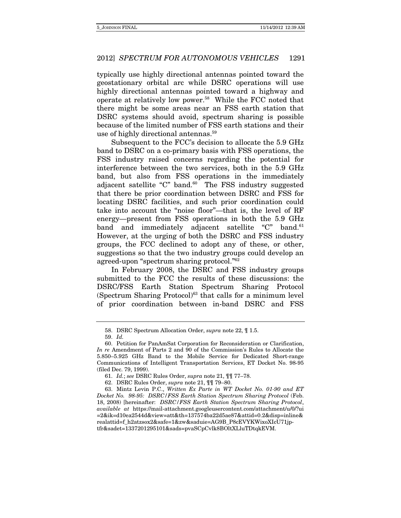typically use highly directional antennas pointed toward the geostationary orbital arc while DSRC operations will use highly directional antennas pointed toward a highway and operate at relatively low power.58 While the FCC noted that there might be some areas near an FSS earth station that DSRC systems should avoid, spectrum sharing is possible because of the limited number of FSS earth stations and their use of highly directional antennas.<sup>59</sup>

Subsequent to the FCC's decision to allocate the 5.9 GHz band to DSRC on a co-primary basis with FSS operations, the FSS industry raised concerns regarding the potential for interference between the two services, both in the 5.9 GHz band, but also from FSS operations in the immediately adjacent satellite "C" band. $60$  The FSS industry suggested that there be prior coordination between DSRC and FSS for locating DSRC facilities, and such prior coordination could take into account the "noise floor"—that is, the level of RF energy—present from FSS operations in both the 5.9 GHz band and immediately adjacent satellite "C" band.<sup>61</sup> However, at the urging of both the DSRC and FSS industry groups, the FCC declined to adopt any of these, or other, suggestions so that the two industry groups could develop an agreed-upon "spectrum sharing protocol."62

In February 2008, the DSRC and FSS industry groups submitted to the FCC the results of these discussions: the DSRC/FSS Earth Station Spectrum Sharing Protocol (Spectrum Sharing Protocol) $63$  that calls for a minimum level of prior coordination between in-band DSRC and FSS

<sup>58.</sup> DSRC Spectrum Allocation Order, supra note 22, ¶ 1.5.

<sup>59.</sup> Id.

 <sup>60.</sup> Petition for PanAmSat Corporation for Reconsideration or Clarification, In re Amendment of Parts 2 and 90 of the Commission's Rules to Allocate the 5.850–5.925 GHz Band to the Mobile Service for Dedicated Short-range Communications of Intelligent Transportation Services, ET Docket No. 98-95 (filed Dec. 79, 1999).

<sup>61.</sup> Id.; see DSRC Rules Order, supra note 21, ¶¶ 77–78.

<sup>62.</sup> DSRC Rules Order, supra note 21, ¶¶ 79–80.

<sup>63.</sup> Mintz Levin P.C., Written Ex Parte in WT Docket No. 01-90 and ET Docket No. 98-95: DSRC/FSS Earth Station Spectrum Sharing Protocol (Feb. 18, 2008) [hereinafter: DSRC/FSS Earth Station Spectrum Sharing Protocol, available at https://mail-attachment.googleusercontent.com/attachment/u/0/?ui =2&ik=d10ea2544d&view=att&th=137574ba22d5ae87&attid=0.2&disp=inline& realattid=f\_h2atzsox2&safe=1&zw&saduie=AG9B\_P8cEVYKWixoXIcU71jptfr&sadet=1337201295101&sads=pvaSCpCvlk8BOltXLluTDtqkEVM.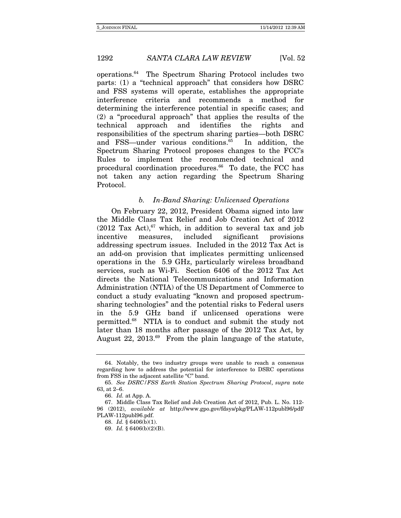operations.64 The Spectrum Sharing Protocol includes two parts: (1) a "technical approach" that considers how DSRC and FSS systems will operate, establishes the appropriate interference criteria and recommends a method for determining the interference potential in specific cases; and (2) a "procedural approach" that applies the results of the technical approach and identifies the rights and responsibilities of the spectrum sharing parties—both DSRC and FSS—under various conditions.<sup>65</sup> In addition, the Spectrum Sharing Protocol proposes changes to the FCC's Rules to implement the recommended technical and procedural coordination procedures.<sup>66</sup> To date, the FCC has not taken any action regarding the Spectrum Sharing Protocol.

### b. In-Band Sharing: Unlicensed Operations

On February 22, 2012, President Obama signed into law the Middle Class Tax Relief and Job Creation Act of 2012 (2012 Tax Act), $67$  which, in addition to several tax and job incentive measures, included significant provisions addressing spectrum issues. Included in the 2012 Tax Act is an add-on provision that implicates permitting unlicensed operations in the 5.9 GHz, particularly wireless broadband services, such as Wi-Fi. Section 6406 of the 2012 Tax Act directs the National Telecommunications and Information Administration (NTIA) of the US Department of Commerce to conduct a study evaluating "known and proposed spectrumsharing technologies" and the potential risks to Federal users in the 5.9 GHz band if unlicensed operations were permitted.68 NTIA is to conduct and submit the study not later than 18 months after passage of the 2012 Tax Act, by August 22, 2013.69 From the plain language of the statute,

 <sup>64.</sup> Notably, the two industry groups were unable to reach a consensus regarding how to address the potential for interference to DSRC operations from FSS in the adjacent satellite "C" band.

<sup>65.</sup> See DSRC/FSS Earth Station Spectrum Sharing Protocol, supra note 63, at 2–6.

<sup>66.</sup> Id. at App. A.

 <sup>67.</sup> Middle Class Tax Relief and Job Creation Act of 2012, Pub. L. No. 112- 96 (2012), available at http://www.gpo.gov/fdsys/pkg/PLAW-112publ96/pdf/ PLAW-112publ96.pdf.

<sup>68.</sup> Id. § 6406(b)(1).

<sup>69.</sup> Id. § 6406(b)(2)(B).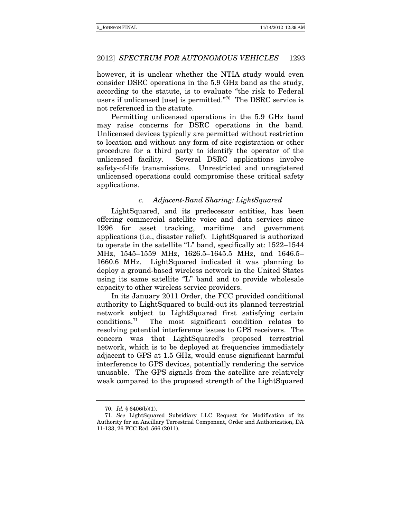however, it is unclear whether the NTIA study would even consider DSRC operations in the 5.9 GHz band as the study, according to the statute, is to evaluate "the risk to Federal users if unlicensed [use] is permitted."70 The DSRC service is not referenced in the statute.

Permitting unlicensed operations in the 5.9 GHz band may raise concerns for DSRC operations in the band. Unlicensed devices typically are permitted without restriction to location and without any form of site registration or other procedure for a third party to identify the operator of the unlicensed facility. Several DSRC applications involve safety-of-life transmissions. Unrestricted and unregistered unlicensed operations could compromise these critical safety applications.

### c. Adjacent-Band Sharing: LightSquared

LightSquared, and its predecessor entities, has been offering commercial satellite voice and data services since 1996 for asset tracking, maritime and government applications (i.e., disaster relief). LightSquared is authorized to operate in the satellite "L" band, specifically at: 1522–1544 MHz, 1545–1559 MHz, 1626.5–1645.5 MHz, and 1646.5– 1660.6 MHz. LightSquared indicated it was planning to deploy a ground-based wireless network in the United States using its same satellite "L" band and to provide wholesale capacity to other wireless service providers.

In its January 2011 Order, the FCC provided conditional authority to LightSquared to build-out its planned terrestrial network subject to LightSquared first satisfying certain conditions.71 The most significant condition relates to resolving potential interference issues to GPS receivers. The concern was that LightSquared's proposed terrestrial network, which is to be deployed at frequencies immediately adjacent to GPS at 1.5 GHz, would cause significant harmful interference to GPS devices, potentially rendering the service unusable. The GPS signals from the satellite are relatively weak compared to the proposed strength of the LightSquared

<sup>70.</sup> Id. § 6406(b)(1).

<sup>71.</sup> See LightSquared Subsidiary LLC Request for Modification of its Authority for an Ancillary Terrestrial Component, Order and Authorization, DA 11-133, 26 FCC Rcd. 566 (2011).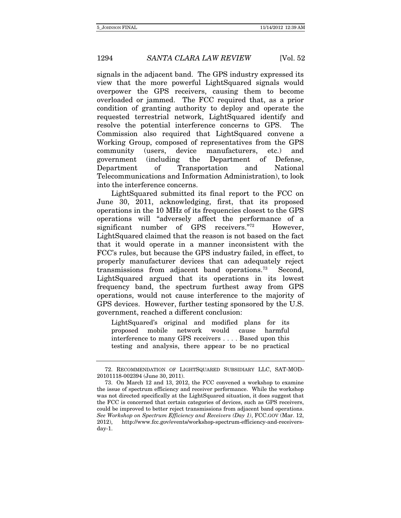signals in the adjacent band. The GPS industry expressed its view that the more powerful LightSquared signals would overpower the GPS receivers, causing them to become overloaded or jammed. The FCC required that, as a prior condition of granting authority to deploy and operate the requested terrestrial network, LightSquared identify and resolve the potential interference concerns to GPS. The Commission also required that LightSquared convene a Working Group, composed of representatives from the GPS community (users, device manufacturers, etc.) and government (including the Department of Defense, Department of Transportation and National Telecommunications and Information Administration), to look into the interference concerns.

LightSquared submitted its final report to the FCC on June 30, 2011, acknowledging, first, that its proposed operations in the 10 MHz of its frequencies closest to the GPS operations will "adversely affect the performance of a significant number of GPS receivers."<sup>72</sup> However, LightSquared claimed that the reason is not based on the fact that it would operate in a manner inconsistent with the FCC's rules, but because the GPS industry failed, in effect, to properly manufacturer devices that can adequately reject transmissions from adjacent band operations.73 Second, LightSquared argued that its operations in its lowest frequency band, the spectrum furthest away from GPS operations, would not cause interference to the majority of GPS devices. However, further testing sponsored by the U.S. government, reached a different conclusion:

LightSquared's original and modified plans for its proposed mobile network would cause harmful interference to many GPS receivers . . . . Based upon this testing and analysis, there appear to be no practical

 <sup>72.</sup> RECOMMENDATION OF LIGHTSQUARED SUBSIDIARY LLC, SAT-MOD-20101118-002394 (June 30, 2011).

 <sup>73.</sup> On March 12 and 13, 2012, the FCC convened a workshop to examine the issue of spectrum efficiency and receiver performance. While the workshop was not directed specifically at the LightSquared situation, it does suggest that the FCC is concerned that certain categories of devices, such as GPS receivers, could be improved to better reject transmissions from adjacent band operations. See Workshop on Spectrum Efficiency and Receivers (Day 1), FCC.GOV (Mar. 12, 2012), http://www.fcc.gov/events/workshop-spectrum-efficiency-and-receiversday-1.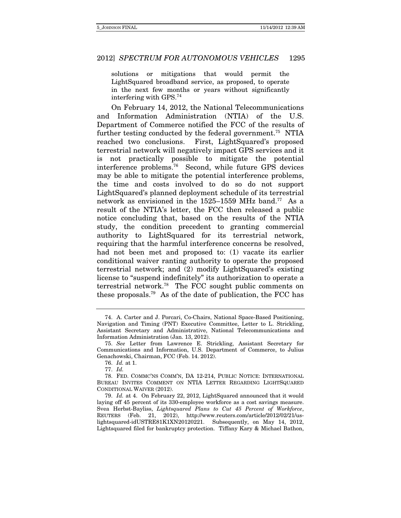solutions or mitigations that would permit the LightSquared broadband service, as proposed, to operate in the next few months or years without significantly interfering with GPS.74

On February 14, 2012, the National Telecommunications and Information Administration (NTIA) of the U.S. Department of Commerce notified the FCC of the results of further testing conducted by the federal government.<sup>75</sup> NTIA reached two conclusions. First, LightSquared's proposed terrestrial network will negatively impact GPS services and it is not practically possible to mitigate the potential interference problems.76 Second, while future GPS devices may be able to mitigate the potential interference problems, the time and costs involved to do so do not support LightSquared's planned deployment schedule of its terrestrial network as envisioned in the 1525–1559 MHz band.77 As a result of the NTIA's letter, the FCC then released a public notice concluding that, based on the results of the NTIA study, the condition precedent to granting commercial authority to LightSquared for its terrestrial network, requiring that the harmful interference concerns be resolved, had not been met and proposed to: (1) vacate its earlier conditional waiver ranting authority to operate the proposed terrestrial network; and (2) modify LightSquared's existing license to "suspend indefinitely" its authorization to operate a terrestrial network.78 The FCC sought public comments on these proposals.79 As of the date of publication, the FCC has

<sup>74.</sup> A. Carter and J. Porcari, Co-Chairs, National Space-Based Positioning, Navigation and Timing (PNT) Executive Committee, Letter to L. Strickling, Assistant Secretary and Administrative, National Telecommunications and Information Administration (Jan. 13, 2012).

<sup>75.</sup> See Letter from Lawrence E. Strickling, Assistant Secretary for Communications and Information, U.S. Department of Commerce, to Julius Genachowski, Chairman, FCC (Feb. 14. 2012).

<sup>76.</sup> Id. at 1.

<sup>77.</sup> Id.

 <sup>78.</sup> FED. COMMC'NS COMM'N, DA 12-214, PUBLIC NOTICE: INTERNATIONAL BUREAU INVITES COMMENT ON NTIA LETTER REGARDING LIGHTSQUARED CONDITIONAL WAIVER (2012).

 <sup>79.</sup> Id. at 4. On February 22, 2012, LightSquared announced that it would laying off 45 percent of its 330-employee workforce as a cost savings measure. Svea Herbst-Bayliss, Lightsquared Plans to Cut 45 Percent of Workforce, REUTERS (Feb. 21, 2012), http://www.reuters.com/article/2012/02/21/uslightsquared-idUSTRE81K1XN20120221. Subsequently, on May 14, 2012, Lightsquared filed for bankruptcy protection. Tiffany Kary & Michael Bathon,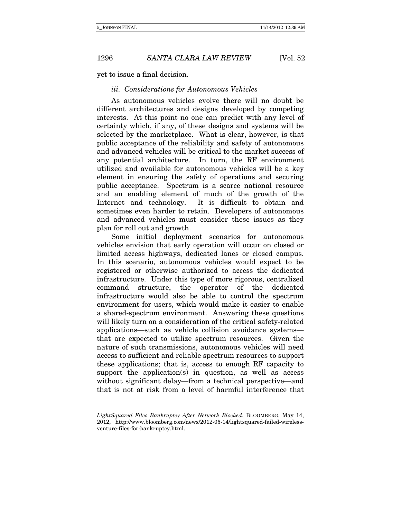yet to issue a final decision.

### iii. Considerations for Autonomous Vehicles

As autonomous vehicles evolve there will no doubt be different architectures and designs developed by competing interests. At this point no one can predict with any level of certainty which, if any, of these designs and systems will be selected by the marketplace. What is clear, however, is that public acceptance of the reliability and safety of autonomous and advanced vehicles will be critical to the market success of any potential architecture. In turn, the RF environment utilized and available for autonomous vehicles will be a key element in ensuring the safety of operations and securing public acceptance. Spectrum is a scarce national resource and an enabling element of much of the growth of the Internet and technology. It is difficult to obtain and sometimes even harder to retain. Developers of autonomous and advanced vehicles must consider these issues as they plan for roll out and growth.

Some initial deployment scenarios for autonomous vehicles envision that early operation will occur on closed or limited access highways, dedicated lanes or closed campus. In this scenario, autonomous vehicles would expect to be registered or otherwise authorized to access the dedicated infrastructure. Under this type of more rigorous, centralized command structure, the operator of the dedicated infrastructure would also be able to control the spectrum environment for users, which would make it easier to enable a shared-spectrum environment. Answering these questions will likely turn on a consideration of the critical safety-related applications—such as vehicle collision avoidance systems that are expected to utilize spectrum resources. Given the nature of such transmissions, autonomous vehicles will need access to sufficient and reliable spectrum resources to support these applications; that is, access to enough RF capacity to support the application(s) in question, as well as access without significant delay—from a technical perspective—and that is not at risk from a level of harmful interference that

LightSquared Files Bankruptcy After Network Blocked, BLOOMBERG, May 14, 2012, http://www.bloomberg.com/news/2012-05-14/lightsquared-failed-wirelessventure-files-for-bankruptcy.html.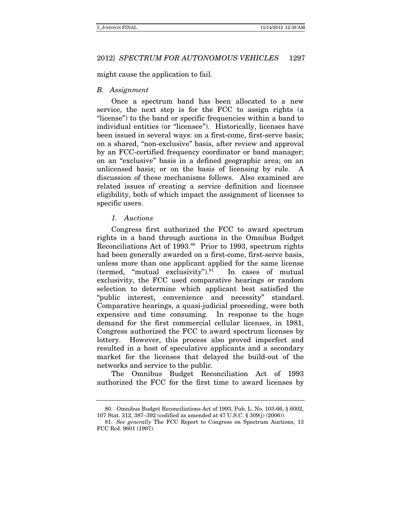might cause the application to fail.

### B. Assignment

Once a spectrum band has been allocated to a new service, the next step is for the FCC to assign rights (a "license") to the band or specific frequencies within a band to individual entities (or "licensee"). Historically, licenses have been issued in several ways: on a first-come, first-serve basis; on a shared, "non-exclusive" basis, after review and approval by an FCC-certified frequency coordinator or band manager; on an "exclusive" basis in a defined geographic area; on an unlicensed basis; or on the basis of licensing by rule. A discussion of these mechanisms follows. Also examined are related issues of creating a service definition and licensee eligibility, both of which impact the assignment of licenses to specific users.

#### 1. Auctions

Congress first authorized the FCC to award spectrum rights in a band through auctions in the Omnibus Budget Reconciliations Act of 1993.<sup>80</sup> Prior to 1993, spectrum rights had been generally awarded on a first-come, first-serve basis, unless more than one applicant applied for the same license (termed, "mutual exclusivity"). $81$  In cases of mutual exclusivity, the FCC used comparative hearings or random selection to determine which applicant best satisfied the "public interest, convenience and necessity" standard. Comparative hearings, a quasi-judicial proceeding, were both expensive and time consuming. In response to the huge demand for the first commercial cellular licenses, in 1981, Congress authorized the FCC to award spectrum licenses by lottery. However, this process also proved imperfect and resulted in a host of speculative applicants and a secondary market for the licenses that delayed the build-out of the networks and service to the public.

The Omnibus Budget Reconciliation Act of 1993 authorized the FCC for the first time to award licenses by

 <sup>80.</sup> Omnibus Budget Reconciliations Act of 1993, Pub. L. No. 103-66, § 6002, 107 Stat. 312, 387–392 (codified as amended at 47 U.S.C. § 309(j) (2006)).

<sup>81.</sup> See generally The FCC Report to Congress on Spectrum Auctions, 13 FCC Rcd. 9601 (1997).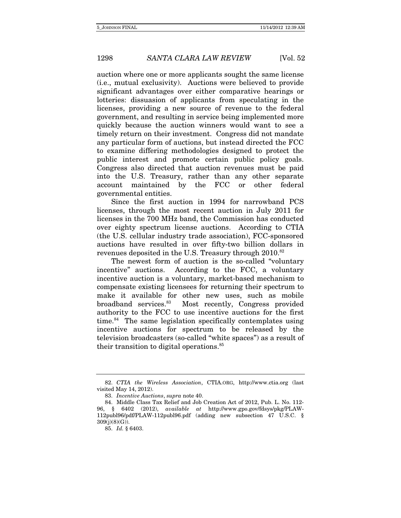auction where one or more applicants sought the same license (i.e., mutual exclusivity). Auctions were believed to provide significant advantages over either comparative hearings or lotteries: dissuasion of applicants from speculating in the licenses, providing a new source of revenue to the federal government, and resulting in service being implemented more quickly because the auction winners would want to see a timely return on their investment. Congress did not mandate any particular form of auctions, but instead directed the FCC to examine differing methodologies designed to protect the public interest and promote certain public policy goals. Congress also directed that auction revenues must be paid into the U.S. Treasury, rather than any other separate account maintained by the FCC or other federal governmental entities.

Since the first auction in 1994 for narrowband PCS licenses, through the most recent auction in July 2011 for licenses in the 700 MHz band, the Commission has conducted over eighty spectrum license auctions. According to CTIA (the U.S. cellular industry trade association), FCC-sponsored auctions have resulted in over fifty-two billion dollars in revenues deposited in the U.S. Treasury through 2010.<sup>82</sup>

The newest form of auction is the so-called "voluntary incentive" auctions. According to the FCC, a voluntary incentive auction is a voluntary, market-based mechanism to compensate existing licensees for returning their spectrum to make it available for other new uses, such as mobile broadband services.83 Most recently, Congress provided authority to the FCC to use incentive auctions for the first time. $84$  The same legislation specifically contemplates using incentive auctions for spectrum to be released by the television broadcasters (so-called "white spaces") as a result of their transition to digital operations.85

 <sup>82.</sup> CTIA the Wireless Association, CTIA.ORG, http://www.ctia.org (last visited May 14, 2012).

 <sup>83.</sup> Incentive Auctions, supra note 40.

 <sup>84.</sup> Middle Class Tax Relief and Job Creation Act of 2012, Pub. L. No. 112- 96, § 6402 (2012), available at http://www.gpo.gov/fdsys/pkg/PLAW-112publ96/pdf/PLAW-112publ96.pdf (adding new subsection 47 U.S.C. § 309(j)(8)(G)).

 <sup>85.</sup> Id. § 6403.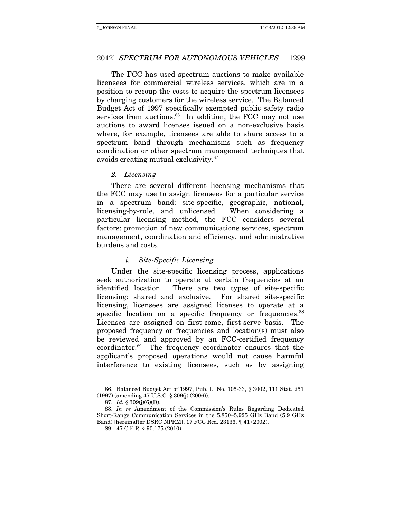The FCC has used spectrum auctions to make available licensees for commercial wireless services, which are in a position to recoup the costs to acquire the spectrum licensees by charging customers for the wireless service. The Balanced Budget Act of 1997 specifically exempted public safety radio services from auctions.<sup>86</sup> In addition, the FCC may not use auctions to award licenses issued on a non-exclusive basis where, for example, licensees are able to share access to a spectrum band through mechanisms such as frequency coordination or other spectrum management techniques that avoids creating mutual exclusivity.87

### 2. Licensing

There are several different licensing mechanisms that the FCC may use to assign licensees for a particular service in a spectrum band: site-specific, geographic, national, licensing-by-rule, and unlicensed. When considering a particular licensing method, the FCC considers several factors: promotion of new communications services, spectrum management, coordination and efficiency, and administrative burdens and costs.

### i. Site-Specific Licensing

Under the site-specific licensing process, applications seek authorization to operate at certain frequencies at an identified location. There are two types of site-specific licensing: shared and exclusive. For shared site-specific licensing, licensees are assigned licenses to operate at a specific location on a specific frequency or frequencies.<sup>88</sup> Licenses are assigned on first-come, first-serve basis. The proposed frequency or frequencies and location(s) must also be reviewed and approved by an FCC-certified frequency coordinator.89 The frequency coordinator ensures that the applicant's proposed operations would not cause harmful interference to existing licensees, such as by assigning

 <sup>86.</sup> Balanced Budget Act of 1997, Pub. L. No. 105-33, § 3002, 111 Stat. 251 (1997) (amending 47 U.S.C. § 309(j) (2006)).

 <sup>87.</sup> Id. § 309(j)(6)(D).

 <sup>88.</sup> In re Amendment of the Commission's Rules Regarding Dedicated Short-Range Communication Services in the 5.850–5.925 GHz Band (5.9 GHz Band) [hereinafter DSRC NPRM], 17 FCC Rcd. 23136, ¶ 41 (2002).

 <sup>89. 47</sup> C.F.R. § 90.175 (2010).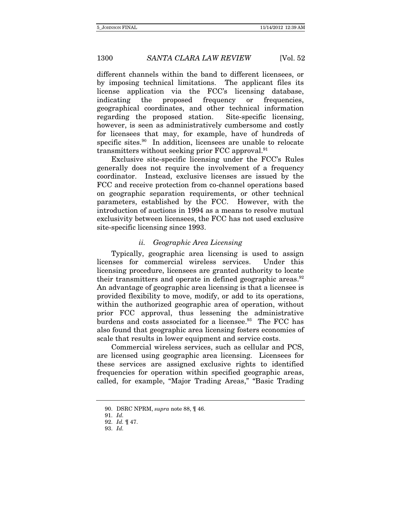different channels within the band to different licensees, or by imposing technical limitations. The applicant files its license application via the FCC's licensing database, indicating the proposed frequency or frequencies, geographical coordinates, and other technical information regarding the proposed station. Site-specific licensing, however, is seen as administratively cumbersome and costly for licensees that may, for example, have of hundreds of specific sites.<sup>90</sup> In addition, licensees are unable to relocate transmitters without seeking prior FCC approval. $91$ 

Exclusive site-specific licensing under the FCC's Rules generally does not require the involvement of a frequency coordinator. Instead, exclusive licenses are issued by the FCC and receive protection from co-channel operations based on geographic separation requirements, or other technical parameters, established by the FCC. However, with the introduction of auctions in 1994 as a means to resolve mutual exclusivity between licensees, the FCC has not used exclusive site-specific licensing since 1993.

### ii. Geographic Area Licensing

Typically, geographic area licensing is used to assign licenses for commercial wireless services. Under this licensing procedure, licensees are granted authority to locate their transmitters and operate in defined geographic areas. $92$ An advantage of geographic area licensing is that a licensee is provided flexibility to move, modify, or add to its operations, within the authorized geographic area of operation, without prior FCC approval, thus lessening the administrative burdens and costs associated for a licensee.<sup>93</sup> The FCC has also found that geographic area licensing fosters economies of scale that results in lower equipment and service costs.

Commercial wireless services, such as cellular and PCS, are licensed using geographic area licensing. Licensees for these services are assigned exclusive rights to identified frequencies for operation within specified geographic areas, called, for example, "Major Trading Areas," "Basic Trading

 <sup>90.</sup> DSRC NPRM, supra note 88, ¶ 46.

<sup>91.</sup> Id.

<sup>92.</sup> Id. ¶ 47.

 <sup>93.</sup> Id.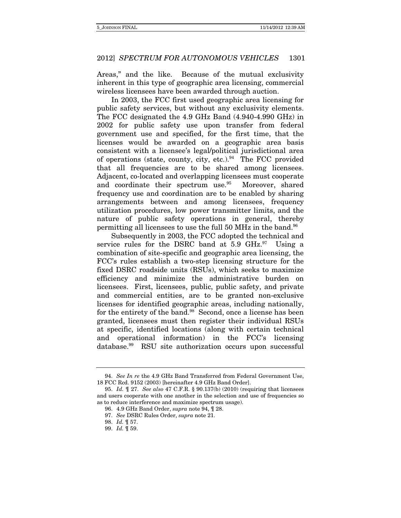Areas," and the like. Because of the mutual exclusivity inherent in this type of geographic area licensing, commercial wireless licensees have been awarded through auction.

In 2003, the FCC first used geographic area licensing for public safety services, but without any exclusivity elements. The FCC designated the 4.9 GHz Band (4.940-4.990 GHz) in 2002 for public safety use upon transfer from federal government use and specified, for the first time, that the licenses would be awarded on a geographic area basis consistent with a licensee's legal/political jurisdictional area of operations (state, county, city, etc.).<sup>94</sup> The FCC provided that all frequencies are to be shared among licensees. Adjacent, co-located and overlapping licensees must cooperate and coordinate their spectrum use.<sup>95</sup> Moreover, shared frequency use and coordination are to be enabled by sharing arrangements between and among licensees, frequency utilization procedures, low power transmitter limits, and the nature of public safety operations in general, thereby permitting all licensees to use the full 50 MHz in the band.96

Subsequently in 2003, the FCC adopted the technical and service rules for the DSRC band at  $5.9 \text{ GHz.}^{97}$  Using a combination of site-specific and geographic area licensing, the FCC's rules establish a two-step licensing structure for the fixed DSRC roadside units (RSUs), which seeks to maximize efficiency and minimize the administrative burden on licensees. First, licensees, public, public safety, and private and commercial entities, are to be granted non-exclusive licenses for identified geographic areas, including nationally, for the entirety of the band.<sup>98</sup> Second, once a license has been granted, licensees must then register their individual RSUs at specific, identified locations (along with certain technical and operational information) in the FCC's licensing database.99 RSU site authorization occurs upon successful

<sup>94.</sup> See In re the 4.9 GHz Band Transferred from Federal Government Use, 18 FCC Rcd. 9152 (2003) [hereinafter 4.9 GHz Band Order].

<sup>95.</sup> Id. ¶ 27. See also 47 C.F.R. § 90.137(b) (2010) (requiring that licensees and users cooperate with one another in the selection and use of frequencies so as to reduce interference and maximize spectrum usage).

<sup>96.</sup> 4.9 GHz Band Order, supra note 94, ¶ 28.

<sup>97.</sup> See DSRC Rules Order, supra note 21.

<sup>98.</sup> Id. ¶ 57.

<sup>99.</sup> Id. ¶ 59.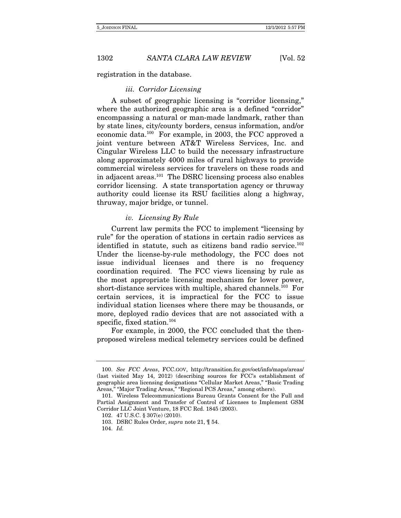registration in the database.

### iii. Corridor Licensing

A subset of geographic licensing is "corridor licensing," where the authorized geographic area is a defined "corridor" encompassing a natural or man-made landmark, rather than by state lines, city/county borders, census information, and/or economic data.100 For example, in 2003, the FCC approved a joint venture between AT&T Wireless Services, Inc. and Cingular Wireless LLC to build the necessary infrastructure along approximately 4000 miles of rural highways to provide commercial wireless services for travelers on these roads and in adjacent areas.101 The DSRC licensing process also enables corridor licensing. A state transportation agency or thruway authority could license its RSU facilities along a highway, thruway, major bridge, or tunnel.

### iv. Licensing By Rule

Current law permits the FCC to implement "licensing by rule" for the operation of stations in certain radio services as identified in statute, such as citizens band radio service.<sup>102</sup> Under the license-by-rule methodology, the FCC does not issue individual licenses and there is no frequency coordination required. The FCC views licensing by rule as the most appropriate licensing mechanism for lower power, short-distance services with multiple, shared channels.<sup>103</sup> For certain services, it is impractical for the FCC to issue individual station licenses where there may be thousands, or more, deployed radio devices that are not associated with a specific, fixed station.<sup>104</sup>

For example, in 2000, the FCC concluded that the thenproposed wireless medical telemetry services could be defined

<sup>100.</sup> See FCC Areas, FCC.GOV, http://transition.fcc.gov/oet/info/maps/areas/ (last visited May 14, 2012) (describing sources for FCC's establishment of geographic area licensing designations "Cellular Market Areas," "Basic Trading Areas," "Major Trading Areas," "Regional PCS Areas," among others).

 <sup>101.</sup> Wireless Telecommunications Bureau Grants Consent for the Full and Partial Assignment and Transfer of Control of Licenses to Implement GSM Corridor LLC Joint Venture, 18 FCC Rcd. 1845 (2003).

 <sup>102. 47</sup> U.S.C. § 307(e) (2010).

<sup>103.</sup> DSRC Rules Order, supra note 21, ¶ 54.

<sup>104.</sup> Id.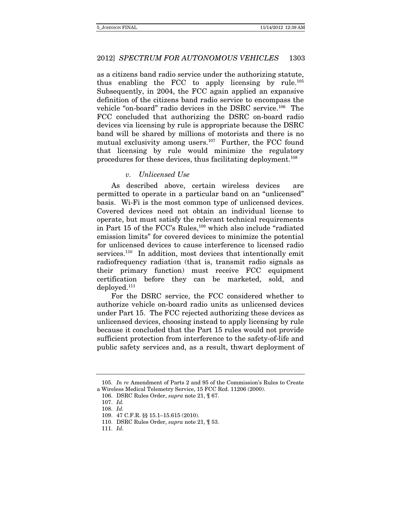as a citizens band radio service under the authorizing statute, thus enabling the FCC to apply licensing by rule.105 Subsequently, in 2004, the FCC again applied an expansive definition of the citizens band radio service to encompass the vehicle "on-board" radio devices in the DSRC service.106 The FCC concluded that authorizing the DSRC on-board radio devices via licensing by rule is appropriate because the DSRC band will be shared by millions of motorists and there is no mutual exclusivity among users.<sup>107</sup> Further, the FCC found that licensing by rule would minimize the regulatory procedures for these devices, thus facilitating deployment.108

### v. Unlicensed Use

As described above, certain wireless devices are permitted to operate in a particular band on an "unlicensed" basis. Wi-Fi is the most common type of unlicensed devices. Covered devices need not obtain an individual license to operate, but must satisfy the relevant technical requirements in Part 15 of the FCC's Rules,109 which also include "radiated emission limits" for covered devices to minimize the potential for unlicensed devices to cause interference to licensed radio services.<sup>110</sup> In addition, most devices that intentionally emit radiofrequency radiation (that is, transmit radio signals as their primary function) must receive FCC equipment certification before they can be marketed, sold, and deployed.111

For the DSRC service, the FCC considered whether to authorize vehicle on-board radio units as unlicensed devices under Part 15. The FCC rejected authorizing these devices as unlicensed devices, choosing instead to apply licensing by rule because it concluded that the Part 15 rules would not provide sufficient protection from interference to the safety-of-life and public safety services and, as a result, thwart deployment of

<sup>105.</sup> In re Amendment of Parts 2 and 95 of the Commission's Rules to Create a Wireless Medical Telemetry Service, 15 FCC Rcd. 11206 (2000).

<sup>106.</sup> DSRC Rules Order, supra note 21, ¶ 67.

<sup>107.</sup> Id.

<sup>108.</sup> Id.

<sup>109.</sup> 47 C.F.R. §§ 15.1–15.615 (2010).

<sup>110.</sup> DSRC Rules Order, supra note 21, ¶ 53.

<sup>111.</sup> Id.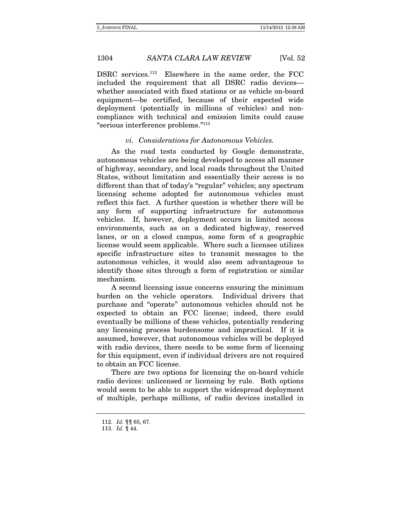DSRC services.<sup>112</sup> Elsewhere in the same order, the FCC included the requirement that all DSRC radio devices whether associated with fixed stations or as vehicle on-board equipment—be certified, because of their expected wide deployment (potentially in millions of vehicles) and noncompliance with technical and emission limits could cause "serious interference problems."113

### vi. Considerations for Autonomous Vehicles.

As the road tests conducted by Google demonstrate, autonomous vehicles are being developed to access all manner of highway, secondary, and local roads throughout the United States, without limitation and essentially their access is no different than that of today's "regular" vehicles; any spectrum licensing scheme adopted for autonomous vehicles must reflect this fact. A further question is whether there will be any form of supporting infrastructure for autonomous vehicles. If, however, deployment occurs in limited access environments, such as on a dedicated highway, reserved lanes, or on a closed campus, some form of a geographic license would seem applicable. Where such a licensee utilizes specific infrastructure sites to transmit messages to the autonomous vehicles, it would also seem advantageous to identify those sites through a form of registration or similar mechanism.

A second licensing issue concerns ensuring the minimum burden on the vehicle operators. Individual drivers that purchase and "operate" autonomous vehicles should not be expected to obtain an FCC license; indeed, there could eventually be millions of these vehicles, potentially rendering any licensing process burdensome and impractical. If it is assumed, however, that autonomous vehicles will be deployed with radio devices, there needs to be some form of licensing for this equipment, even if individual drivers are not required to obtain an FCC license.

There are two options for licensing the on-board vehicle radio devices: unlicensed or licensing by rule. Both options would seem to be able to support the widespread deployment of multiple, perhaps millions, of radio devices installed in

<sup>112.</sup> Id. ¶¶ 65, 67.

<sup>113.</sup> Id. ¶ 44.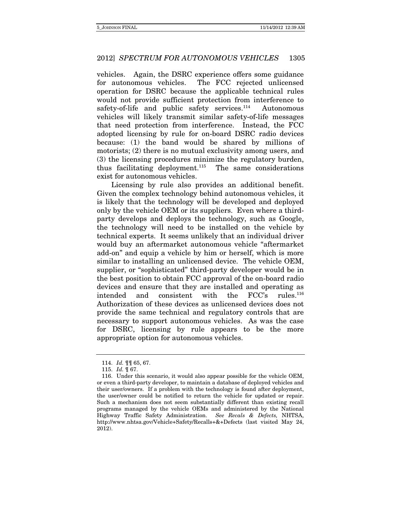vehicles. Again, the DSRC experience offers some guidance for autonomous vehicles. The FCC rejected unlicensed operation for DSRC because the applicable technical rules would not provide sufficient protection from interference to safety-of-life and public safety services. $114$  Autonomous vehicles will likely transmit similar safety-of-life messages that need protection from interference. Instead, the FCC adopted licensing by rule for on-board DSRC radio devices because: (1) the band would be shared by millions of motorists; (2) there is no mutual exclusivity among users, and (3) the licensing procedures minimize the regulatory burden, thus facilitating deployment.<sup>115</sup> The same considerations exist for autonomous vehicles.

Licensing by rule also provides an additional benefit. Given the complex technology behind autonomous vehicles, it is likely that the technology will be developed and deployed only by the vehicle OEM or its suppliers. Even where a thirdparty develops and deploys the technology, such as Google, the technology will need to be installed on the vehicle by technical experts. It seems unlikely that an individual driver would buy an aftermarket autonomous vehicle "aftermarket add-on" and equip a vehicle by him or herself, which is more similar to installing an unlicensed device. The vehicle OEM, supplier, or "sophisticated" third-party developer would be in the best position to obtain FCC approval of the on-board radio devices and ensure that they are installed and operating as intended and consistent with the FCC's rules.116 Authorization of these devices as unlicensed devices does not provide the same technical and regulatory controls that are necessary to support autonomous vehicles. As was the case for DSRC, licensing by rule appears to be the more appropriate option for autonomous vehicles.

<sup>114.</sup> Id. ¶¶ 65, 67.

<sup>115.</sup> Id. ¶ 67.

 <sup>116.</sup> Under this scenario, it would also appear possible for the vehicle OEM, or even a third-party developer, to maintain a database of deployed vehicles and their user/owners. If a problem with the technology is found after deployment, the user/owner could be notified to return the vehicle for updated or repair. Such a mechanism does not seem substantially different than existing recall programs managed by the vehicle OEMs and administered by the National Highway Traffic Safety Administration. See Recals & Defects, NHTSA, http://www.nhtsa.gov/Vehicle+Safety/Recalls+&+Defects (last visited May 24, 2012).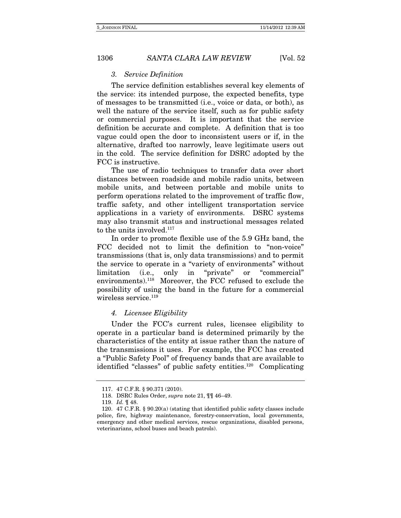### 3. Service Definition

The service definition establishes several key elements of the service: its intended purpose, the expected benefits, type of messages to be transmitted (i.e., voice or data, or both), as well the nature of the service itself, such as for public safety or commercial purposes. It is important that the service definition be accurate and complete. A definition that is too vague could open the door to inconsistent users or if, in the alternative, drafted too narrowly, leave legitimate users out in the cold. The service definition for DSRC adopted by the FCC is instructive.

The use of radio techniques to transfer data over short distances between roadside and mobile radio units, between mobile units, and between portable and mobile units to perform operations related to the improvement of traffic flow, traffic safety, and other intelligent transportation service applications in a variety of environments. DSRC systems may also transmit status and instructional messages related to the units involved.<sup>117</sup>

In order to promote flexible use of the 5.9 GHz band, the FCC decided not to limit the definition to "non-voice" transmissions (that is, only data transmissions) and to permit the service to operate in a "variety of environments" without limitation (i.e., only in "private" or "commercial" environments).118 Moreover, the FCC refused to exclude the possibility of using the band in the future for a commercial wireless service.<sup>119</sup>

### 4. Licensee Eligibility

Under the FCC's current rules, licensee eligibility to operate in a particular band is determined primarily by the characteristics of the entity at issue rather than the nature of the transmissions it uses. For example, the FCC has created a "Public Safety Pool" of frequency bands that are available to identified "classes" of public safety entities.120 Complicating

 <sup>117. 47</sup> C.F.R. § 90.371 (2010).

<sup>118.</sup> DSRC Rules Order, supra note 21, ¶¶ 46–49.

<sup>119.</sup> Id. ¶ 48.

 <sup>120. 47</sup> C.F.R. § 90.20(a) (stating that identified public safety classes include police, fire, highway maintenance, forestry-conservation, local governments, emergency and other medical services, rescue organizations, disabled persons, veterinarians, school buses and beach patrols).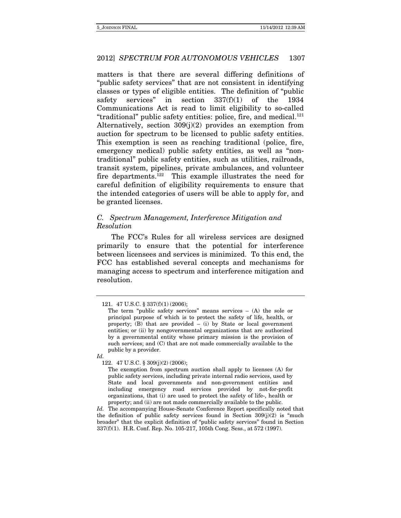matters is that there are several differing definitions of "public safety services" that are not consistent in identifying classes or types of eligible entities. The definition of "public safety services" in section 337(f)(1) of the 1934 Communications Act is read to limit eligibility to so-called "traditional" public safety entities: police, fire, and medical.121 Alternatively, section 309(j)(2) provides an exemption from auction for spectrum to be licensed to public safety entities. This exemption is seen as reaching traditional (police, fire, emergency medical) public safety entities, as well as "nontraditional" public safety entities, such as utilities, railroads, transit system, pipelines, private ambulances, and volunteer fire departments.122 This example illustrates the need for careful definition of eligibility requirements to ensure that the intended categories of users will be able to apply for, and be granted licenses.

### C. Spectrum Management, Interference Mitigation and Resolution

The FCC's Rules for all wireless services are designed primarily to ensure that the potential for interference between licensees and services is minimized. To this end, the FCC has established several concepts and mechanisms for managing access to spectrum and interference mitigation and resolution.

122. 47 U.S.C. § 309(j)(2) (2006);

The exemption from spectrum auction shall apply to licenses (A) for public safety services, including private internal radio services, used by State and local governments and non-government entities and including emergency road services provided by not-for-profit organizations, that (i) are used to protect the safety of life-, health or property; and (ii) are not made commercially available to the public.

Id. The accompanying House-Senate Conference Report specifically noted that the definition of public safety services found in Section  $309(j)(2)$  is "much broader" that the explicit definition of "public safety services" found in Section 337(f)(1). H.R. Conf. Rep. No. 105-217, 105th Cong. Sess., at 572 (1997).

 <sup>121. 47</sup> U.S.C. § 337(f)(1) (2006);

The term "public safety services" means services  $-$  (A) the sole or principal purpose of which is to protect the safety of life, health, or property; (B) that are provided – (i) by State or local government entities; or (ii) by nongovernmental organizations that are authorized by a governmental entity whose primary mission is the provision of such services; and (C) that are not made commercially available to the public by a provider.

Id.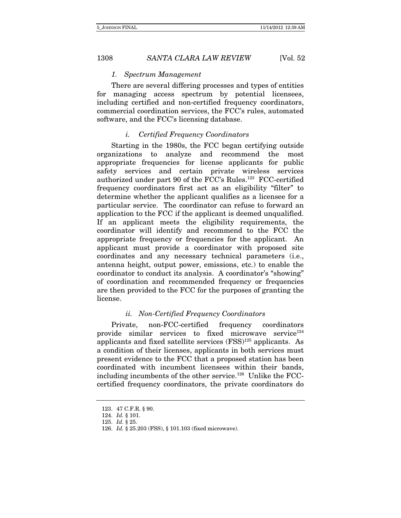### 1. Spectrum Management

There are several differing processes and types of entities for managing access spectrum by potential licensees, including certified and non-certified frequency coordinators, commercial coordination services, the FCC's rules, automated software, and the FCC's licensing database.

### i. Certified Frequency Coordinators

Starting in the 1980s, the FCC began certifying outside organizations to analyze and recommend the most appropriate frequencies for license applicants for public safety services and certain private wireless services authorized under part 90 of the FCC's Rules.123 FCC-certified frequency coordinators first act as an eligibility "filter" to determine whether the applicant qualifies as a licensee for a particular service. The coordinator can refuse to forward an application to the FCC if the applicant is deemed unqualified. If an applicant meets the eligibility requirements, the coordinator will identify and recommend to the FCC the appropriate frequency or frequencies for the applicant. An applicant must provide a coordinator with proposed site coordinates and any necessary technical parameters (i.e., antenna height, output power, emissions, etc.) to enable the coordinator to conduct its analysis. A coordinator's "showing" of coordination and recommended frequency or frequencies are then provided to the FCC for the purposes of granting the license.

### ii. Non-Certified Frequency Coordinators

Private, non-FCC-certified frequency coordinators provide similar services to fixed microwave service $124$ applicants and fixed satellite services  $(FSS)^{125}$  applicants. As a condition of their licenses, applicants in both services must present evidence to the FCC that a proposed station has been coordinated with incumbent licensees within their bands, including incumbents of the other service.<sup>126</sup> Unlike the FCCcertified frequency coordinators, the private coordinators do

 <sup>123. 47</sup> C.F.R. § 90.

 <sup>124.</sup> Id. § 101.

 <sup>125.</sup> Id. § 25.

 <sup>126.</sup> Id. § 25.203 (FSS), § 101.103 (fixed microwave).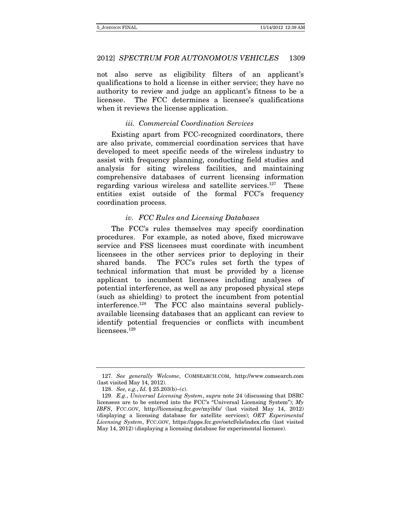not also serve as eligibility filters of an applicant's qualifications to hold a license in either service; they have no authority to review and judge an applicant's fitness to be a licensee. The FCC determines a licensee's qualifications when it reviews the license application.

### iii. Commercial Coordination Services

Existing apart from FCC-recognized coordinators, there are also private, commercial coordination services that have developed to meet specific needs of the wireless industry to assist with frequency planning, conducting field studies and analysis for siting wireless facilities, and maintaining comprehensive databases of current licensing information regarding various wireless and satellite services.<sup>127</sup> These entities exist outside of the formal FCC's frequency coordination process.

### iv. FCC Rules and Licensing Databases

The FCC's rules themselves may specify coordination procedures. For example, as noted above, fixed microwave service and FSS licensees must coordinate with incumbent licensees in the other services prior to deploying in their shared bands. The FCC's rules set forth the types of technical information that must be provided by a license applicant to incumbent licensees including analyses of potential interference, as well as any proposed physical steps (such as shielding) to protect the incumbent from potential interference.128 The FCC also maintains several publiclyavailable licensing databases that an applicant can review to identify potential frequencies or conflicts with incumbent licensees.<sup>129</sup>

<sup>127.</sup> See generally Welcome, COMSEARCH.COM, http://www.comsearch.com (last visited May 14, 2012).

<sup>128.</sup> See, e.g., Id. § 25.203(b)–(c).

 <sup>129.</sup> E.g., Universal Licensing System, supra note 24 (discussing that DSRC licensees are to be entered into the FCC's "Universal Licensing System");  $M_y$ IBFS, FCC.GOV, http://licensing.fcc.gov/myibfs/ (last visited May 14, 2012) (displaying a licensing database for satellite services); OET Experimental Licensing System, FCC.GOV, https://apps.fcc.gov/oetcf/els/index.cfm (last visited May 14, 2012) (displaying a licensing database for experimental licenses).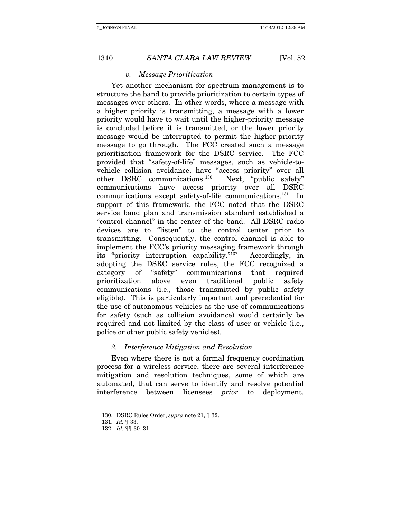### v. Message Prioritization

Yet another mechanism for spectrum management is to structure the band to provide prioritization to certain types of messages over others. In other words, where a message with a higher priority is transmitting, a message with a lower priority would have to wait until the higher-priority message is concluded before it is transmitted, or the lower priority message would be interrupted to permit the higher-priority message to go through. The FCC created such a message prioritization framework for the DSRC service. The FCC provided that "safety-of-life" messages, such as vehicle-tovehicle collision avoidance, have "access priority" over all other DSRC communications.130 Next, "public safety" communications have access priority over all DSRC communications except safety-of-life communications.<sup>131</sup> In support of this framework, the FCC noted that the DSRC service band plan and transmission standard established a "control channel" in the center of the band. All DSRC radio devices are to "listen" to the control center prior to transmitting. Consequently, the control channel is able to implement the FCC's priority messaging framework through its "priority interruption capability."132 Accordingly, in adopting the DSRC service rules, the FCC recognized a category of "safety" communications that required prioritization above even traditional public safety communications (i.e., those transmitted by public safety eligible). This is particularly important and precedential for the use of autonomous vehicles as the use of communications for safety (such as collision avoidance) would certainly be required and not limited by the class of user or vehicle (i.e., police or other public safety vehicles).

### 2. Interference Mitigation and Resolution

Even where there is not a formal frequency coordination process for a wireless service, there are several interference mitigation and resolution techniques, some of which are automated, that can serve to identify and resolve potential interference between licensees prior to deployment.

<sup>130.</sup> DSRC Rules Order, supra note 21, ¶ 32.

<sup>131.</sup> Id. ¶ 33.

<sup>132.</sup> Id. ¶¶ 30–31.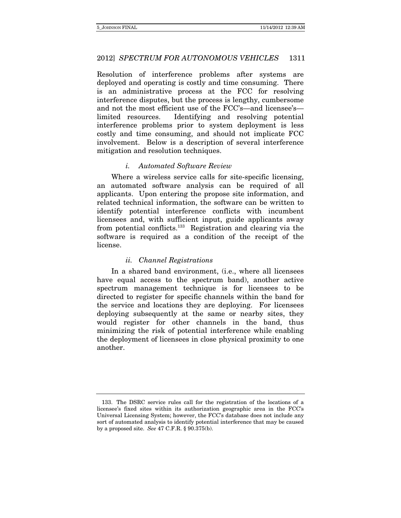Resolution of interference problems after systems are deployed and operating is costly and time consuming. There is an administrative process at the FCC for resolving interference disputes, but the process is lengthy, cumbersome and not the most efficient use of the FCC's—and licensee's limited resources. Identifying and resolving potential interference problems prior to system deployment is less costly and time consuming, and should not implicate FCC involvement. Below is a description of several interference mitigation and resolution techniques.

### i. Automated Software Review

Where a wireless service calls for site-specific licensing, an automated software analysis can be required of all applicants. Upon entering the propose site information, and related technical information, the software can be written to identify potential interference conflicts with incumbent licensees and, with sufficient input, guide applicants away from potential conflicts.133 Registration and clearing via the software is required as a condition of the receipt of the license.

### ii. Channel Registrations

In a shared band environment, (i.e., where all licensees have equal access to the spectrum band), another active spectrum management technique is for licensees to be directed to register for specific channels within the band for the service and locations they are deploying. For licensees deploying subsequently at the same or nearby sites, they would register for other channels in the band, thus minimizing the risk of potential interference while enabling the deployment of licensees in close physical proximity to one another.

 <sup>133.</sup> The DSRC service rules call for the registration of the locations of a licensee's fixed sites within its authorization geographic area in the FCC's Universal Licensing System; however, the FCC's database does not include any sort of automated analysis to identify potential interference that may be caused by a proposed site. See 47 C.F.R. § 90.375(b).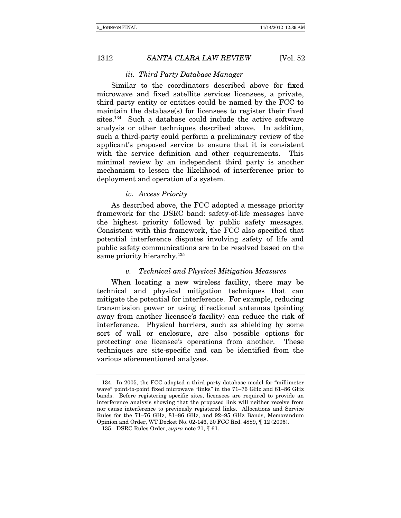#### iii. Third Party Database Manager

Similar to the coordinators described above for fixed microwave and fixed satellite services licensees, a private, third party entity or entities could be named by the FCC to maintain the database(s) for licensees to register their fixed sites.<sup>134</sup> Such a database could include the active software analysis or other techniques described above. In addition, such a third-party could perform a preliminary review of the applicant's proposed service to ensure that it is consistent with the service definition and other requirements. This minimal review by an independent third party is another mechanism to lessen the likelihood of interference prior to deployment and operation of a system.

### iv. Access Priority

As described above, the FCC adopted a message priority framework for the DSRC band: safety-of-life messages have the highest priority followed by public safety messages. Consistent with this framework, the FCC also specified that potential interference disputes involving safety of life and public safety communications are to be resolved based on the same priority hierarchy.<sup>135</sup>

### v. Technical and Physical Mitigation Measures

When locating a new wireless facility, there may be technical and physical mitigation techniques that can mitigate the potential for interference. For example, reducing transmission power or using directional antennas (pointing away from another licensee's facility) can reduce the risk of interference. Physical barriers, such as shielding by some sort of wall or enclosure, are also possible options for protecting one licensee's operations from another. These techniques are site-specific and can be identified from the various aforementioned analyses.

 <sup>134.</sup> In 2005, the FCC adopted a third party database model for "millimeter wave" point-to-point fixed microwave "links" in the 71–76 GHz and 81–86 GHz bands. Before registering specific sites, licensees are required to provide an interference analysis showing that the proposed link will neither receive from nor cause interference to previously registered links. Allocations and Service Rules for the 71–76 GHz, 81–86 GHz, and 92–95 GHz Bands, Memorandum Opinion and Order, WT Docket No. 02-146, 20 FCC Rcd. 4889, ¶ 12 (2005).

<sup>135.</sup> DSRC Rules Order, supra note 21, ¶ 61.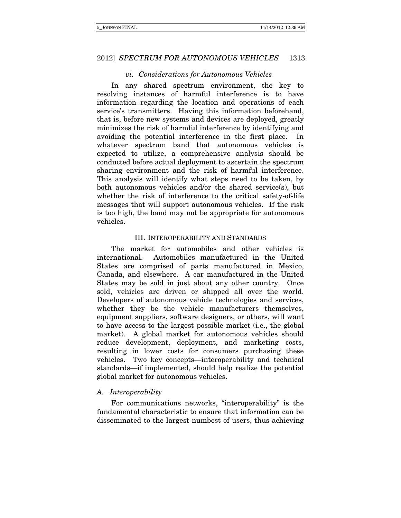### vi. Considerations for Autonomous Vehicles

In any shared spectrum environment, the key to resolving instances of harmful interference is to have information regarding the location and operations of each service's transmitters. Having this information beforehand, that is, before new systems and devices are deployed, greatly minimizes the risk of harmful interference by identifying and avoiding the potential interference in the first place. In whatever spectrum band that autonomous vehicles is expected to utilize, a comprehensive analysis should be conducted before actual deployment to ascertain the spectrum sharing environment and the risk of harmful interference. This analysis will identify what steps need to be taken, by both autonomous vehicles and/or the shared service(s), but whether the risk of interference to the critical safety-of-life messages that will support autonomous vehicles. If the risk is too high, the band may not be appropriate for autonomous vehicles.

### III. INTEROPERABILITY AND STANDARDS

The market for automobiles and other vehicles is international. Automobiles manufactured in the United States are comprised of parts manufactured in Mexico, Canada, and elsewhere. A car manufactured in the United States may be sold in just about any other country. Once sold, vehicles are driven or shipped all over the world. Developers of autonomous vehicle technologies and services, whether they be the vehicle manufacturers themselves, equipment suppliers, software designers, or others, will want to have access to the largest possible market (i.e., the global market). A global market for autonomous vehicles should reduce development, deployment, and marketing costs, resulting in lower costs for consumers purchasing these vehicles. Two key concepts—interoperability and technical standards—if implemented, should help realize the potential global market for autonomous vehicles.

### A. Interoperability

For communications networks, "interoperability" is the fundamental characteristic to ensure that information can be disseminated to the largest numbest of users, thus achieving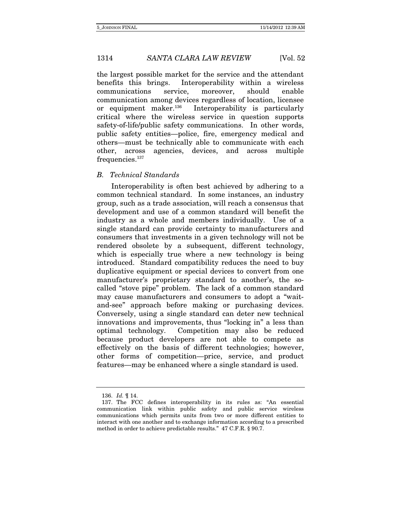the largest possible market for the service and the attendant benefits this brings. Interoperability within a wireless communications service, moreover, should enable communication among devices regardless of location, licensee or equipment maker.136 Interoperability is particularly critical where the wireless service in question supports safety-of-life/public safety communications. In other words, public safety entities—police, fire, emergency medical and others—must be technically able to communicate with each other, across agencies, devices, and across multiple frequencies.<sup>137</sup>

### B. Technical Standards

Interoperability is often best achieved by adhering to a common technical standard. In some instances, an industry group, such as a trade association, will reach a consensus that development and use of a common standard will benefit the industry as a whole and members individually. Use of a single standard can provide certainty to manufacturers and consumers that investments in a given technology will not be rendered obsolete by a subsequent, different technology, which is especially true where a new technology is being introduced. Standard compatibility reduces the need to buy duplicative equipment or special devices to convert from one manufacturer's proprietary standard to another's, the socalled "stove pipe" problem. The lack of a common standard may cause manufacturers and consumers to adopt a "waitand-see" approach before making or purchasing devices. Conversely, using a single standard can deter new technical innovations and improvements, thus "locking in" a less than optimal technology. Competition may also be reduced because product developers are not able to compete as effectively on the basis of different technologies; however, other forms of competition—price, service, and product features—may be enhanced where a single standard is used.

<sup>136.</sup> Id. ¶ 14.

 <sup>137.</sup> The FCC defines interoperability in its rules as: "An essential communication link within public safety and public service wireless communications which permits units from two or more different entities to interact with one another and to exchange information according to a prescribed method in order to achieve predictable results." 47 C.F.R. § 90.7.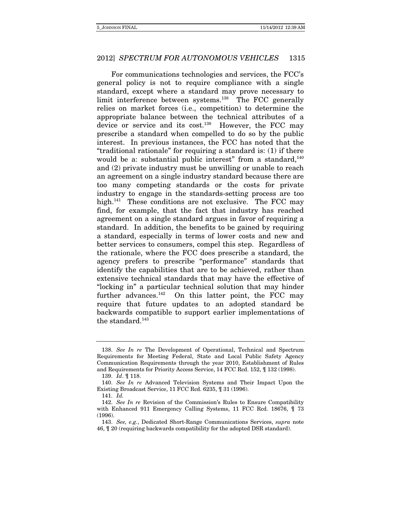For communications technologies and services, the FCC's general policy is not to require compliance with a single standard, except where a standard may prove necessary to limit interference between systems.138 The FCC generally relies on market forces (i.e., competition) to determine the appropriate balance between the technical attributes of a device or service and its cost.<sup>139</sup> However, the FCC may prescribe a standard when compelled to do so by the public interest. In previous instances, the FCC has noted that the "traditional rationale" for requiring a standard is: (1) if there would be a: substantial public interest" from a standard,  $140$ and (2) private industry must be unwilling or unable to reach an agreement on a single industry standard because there are too many competing standards or the costs for private industry to engage in the standards-setting process are too high.<sup>141</sup> These conditions are not exclusive. The FCC may find, for example, that the fact that industry has reached agreement on a single standard argues in favor of requiring a standard. In addition, the benefits to be gained by requiring a standard, especially in terms of lower costs and new and better services to consumers, compel this step. Regardless of the rationale, where the FCC does prescribe a standard, the agency prefers to prescribe "performance" standards that identify the capabilities that are to be achieved, rather than extensive technical standards that may have the effective of "locking in" a particular technical solution that may hinder further advances.<sup>142</sup> On this latter point, the FCC may require that future updates to an adopted standard be backwards compatible to support earlier implementations of the standard.<sup>143</sup>

<sup>138.</sup> See In re The Development of Operational, Technical and Spectrum Requirements for Meeting Federal, State and Local Public Safety Agency Communication Requirements through the year 2010, Establishment of Rules and Requirements for Priority Access Service, 14 FCC Rcd. 152, ¶ 132 (1998).

<sup>139.</sup> Id. ¶ 118.

<sup>140.</sup> See In re Advanced Television Systems and Their Impact Upon the Existing Broadcast Service, 11 FCC Rcd. 6235, ¶ 31 (1996).

<sup>141.</sup> Id.

<sup>142.</sup> See In re Revision of the Commission's Rules to Ensure Compatibility with Enhanced 911 Emergency Calling Systems, 11 FCC Rcd. 18676, ¶ 73 (1996).

 <sup>143.</sup> See, e.g., Dedicated Short-Range Communications Services, supra note 46, ¶ 20 (requiring backwards compatibility for the adopted DSR standard).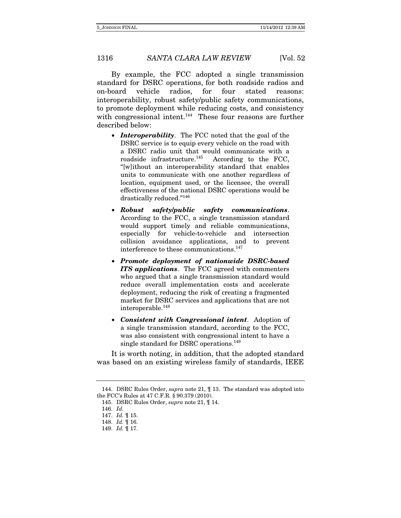By example, the FCC adopted a single transmission standard for DSRC operations, for both roadside radios and on-board vehicle radios, for four stated reasons: interoperability, robust safety/public safety communications, to promote deployment while reducing costs, and consistency with congressional intent.<sup>144</sup> These four reasons are further described below:

- *Interoperability*. The FCC noted that the goal of the DSRC service is to equip every vehicle on the road with a DSRC radio unit that would communicate with a roadside infrastructure. $145$  According to the FCC, "[w]ithout an interoperability standard that enables units to communicate with one another regardless of location, equipment used, or the licensee, the overall effectiveness of the national DSRC operations would be drastically reduced."146
- *Robust safety/public safety communications*. According to the FCC, a single transmission standard would support timely and reliable communications, especially for vehicle-to-vehicle and intersection collision avoidance applications, and to prevent interference to these communications.<sup>147</sup>
- *Promote deployment of nationwide DSRC-based ITS applications*. The FCC agreed with commenters who argued that a single transmission standard would reduce overall implementation costs and accelerate deployment, reducing the risk of creating a fragmented market for DSRC services and applications that are not interoperable.148
- *Consistent with Congressional intent*. Adoption of a single transmission standard, according to the FCC, was also consistent with congressional intent to have a single standard for DSRC operations.<sup>149</sup>

It is worth noting, in addition, that the adopted standard was based on an existing wireless family of standards, IEEE

<sup>144.</sup> DSRC Rules Order, supra note 21, ¶ 13. The standard was adopted into the FCC's Rules at 47 C.F.R. § 90.379 (2010).

<sup>145.</sup> DSRC Rules Order, supra note 21, ¶ 14.

<sup>146.</sup> Id.

<sup>147.</sup> *Id.*  $\mathop{1.7} 15$ .

<sup>148.</sup> Id. ¶ 16.

<sup>149.</sup> Id. ¶ 17.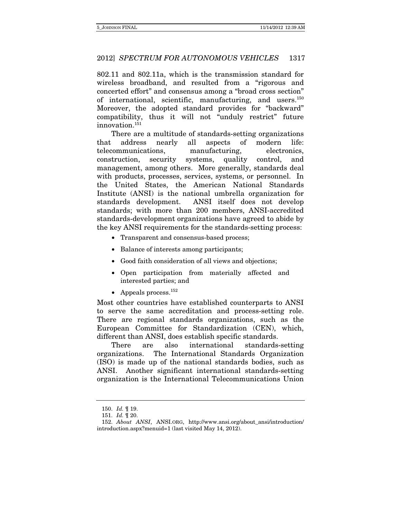802.11 and 802.11a, which is the transmission standard for wireless broadband, and resulted from a "rigorous and concerted effort" and consensus among a "broad cross section" of international, scientific, manufacturing, and users.150 Moreover, the adopted standard provides for "backward" compatibility, thus it will not "unduly restrict" future innovation.151

There are a multitude of standards-setting organizations that address nearly all aspects of modern life: telecommunications, manufacturing, electronics, construction, security systems, quality control, and management, among others. More generally, standards deal with products, processes, services, systems, or personnel. In the United States, the American National Standards Institute (ANSI) is the national umbrella organization for standards development. ANSI itself does not develop standards; with more than 200 members, ANSI-accredited standards-development organizations have agreed to abide by the key ANSI requirements for the standards-setting process:

- Transparent and consensus-based process;
- Balance of interests among participants;
- Good faith consideration of all views and objections;
- Open participation from materially affected and interested parties; and
- Appeals process.  $^{152}$

Most other countries have established counterparts to ANSI to serve the same accreditation and process-setting role. There are regional standards organizations, such as the European Committee for Standardization (CEN), which, different than ANSI, does establish specific standards.

There are also international standards-setting organizations. The International Standards Organization (ISO) is made up of the national standards bodies, such as ANSI. Another significant international standards-setting organization is the International Telecommunications Union

<sup>150.</sup> Id. ¶ 19.

<sup>151.</sup> Id. ¶ 20.

 <sup>152.</sup> About ANSI, ANSI.ORG, http://www.ansi.org/about\_ansi/introduction/ introduction.aspx?menuid=1 (last visited May 14, 2012).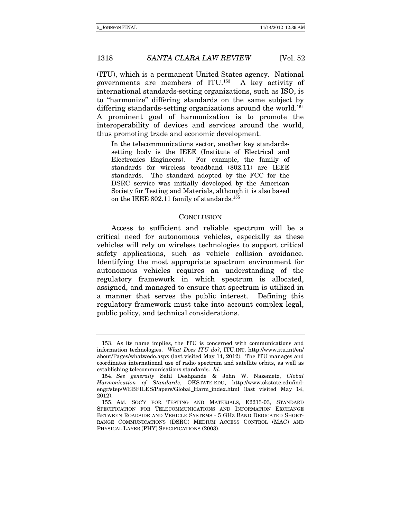(ITU), which is a permanent United States agency. National governments are members of ITU.153 A key activity of international standards-setting organizations, such as ISO, is to "harmonize" differing standards on the same subject by differing standards-setting organizations around the world.<sup>154</sup> A prominent goal of harmonization is to promote the interoperability of devices and services around the world, thus promoting trade and economic development.

In the telecommunications sector, another key standardssetting body is the IEEE (Institute of Electrical and Electronics Engineers). For example, the family of standards for wireless broadband (802.11) are IEEE standards. The standard adopted by the FCC for the DSRC service was initially developed by the American Society for Testing and Materials, although it is also based on the IEEE 802.11 family of standards.<sup>155</sup>

#### **CONCLUSION**

Access to sufficient and reliable spectrum will be a critical need for autonomous vehicles, especially as these vehicles will rely on wireless technologies to support critical safety applications, such as vehicle collision avoidance. Identifying the most appropriate spectrum environment for autonomous vehicles requires an understanding of the regulatory framework in which spectrum is allocated, assigned, and managed to ensure that spectrum is utilized in a manner that serves the public interest. Defining this regulatory framework must take into account complex legal, public policy, and technical considerations.

 <sup>153.</sup> As its name implies, the ITU is concerned with communications and information technologies. What Does ITU do?, ITU.INT, http://www.itu.int/en/ about/Pages/whatwedo.aspx (last visited May 14, 2012). The ITU manages and coordinates international use of radio spectrum and satellite orbits, as well as establishing telecommunications standards. Id.

<sup>154.</sup> See generally Salil Deshpande & John W. Nazemetz, Global Harmonization of Standards, OKSTATE.EDU, http://www.okstate.edu/indengr/step/WEBFILES/Papers/Global\_Harm\_index.html (last visited May 14, 2012).

 <sup>155.</sup> AM. SOC'Y FOR TESTING AND MATERIALS, E2213-03, STANDARD SPECIFICATION FOR TELECOMMUNICATIONS AND INFORMATION EXCHANGE BETWEEN ROADSIDE AND VEHICLE SYSTEMS - 5 GHZ BAND DEDICATED SHORT-RANGE COMMUNICATIONS (DSRC) MEDIUM ACCESS CONTROL (MAC) AND PHYSICAL LAYER (PHY) SPECIFICATIONS (2003).